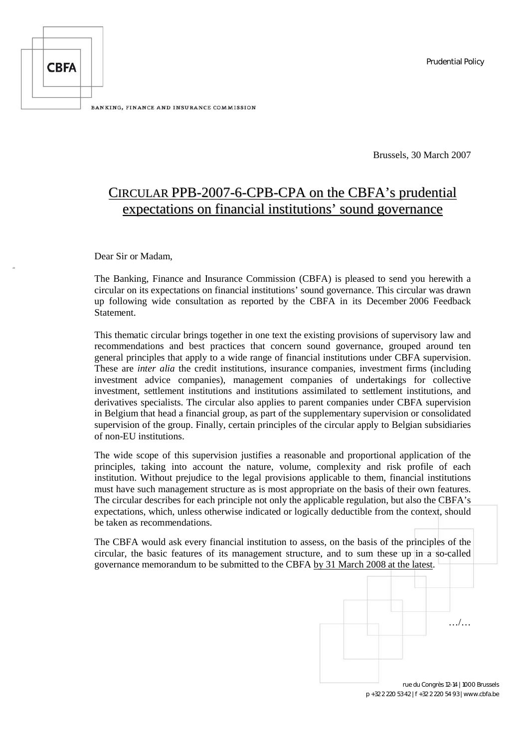

Brussels, 30 March 2007

# CIRCULAR PPB-2007-6-CPB-CPA on the CBFA's prudential expectations on financial institutions' sound governance

Dear Sir or Madam,

The Banking, Finance and Insurance Commission (CBFA) is pleased to send you herewith a circular on its expectations on financial institutions' sound governance. This circular was drawn up following wide consultation as reported by the CBFA in its December 2006 Feedback **Statement** 

This thematic circular brings together in one text the existing provisions of supervisory law and recommendations and best practices that concern sound governance, grouped around ten general principles that apply to a wide range of financial institutions under CBFA supervision. These are *inter alia* the credit institutions, insurance companies, investment firms (including investment advice companies), management companies of undertakings for collective investment, settlement institutions and institutions assimilated to settlement institutions, and derivatives specialists. The circular also applies to parent companies under CBFA supervision in Belgium that head a financial group, as part of the supplementary supervision or consolidated supervision of the group. Finally, certain principles of the circular apply to Belgian subsidiaries of non-EU institutions.

The wide scope of this supervision justifies a reasonable and proportional application of the principles, taking into account the nature, volume, complexity and risk profile of each institution. Without prejudice to the legal provisions applicable to them, financial institutions must have such management structure as is most appropriate on the basis of their own features. The circular describes for each principle not only the applicable regulation, but also the CBFA's expectations, which, unless otherwise indicated or logically deductible from the context, should be taken as recommendations.

The CBFA would ask every financial institution to assess, on the basis of the principles of the circular, the basic features of its management structure, and to sum these up in a so-called governance memorandum to be submitted to the CBFA by 31 March 2008 at the latest.

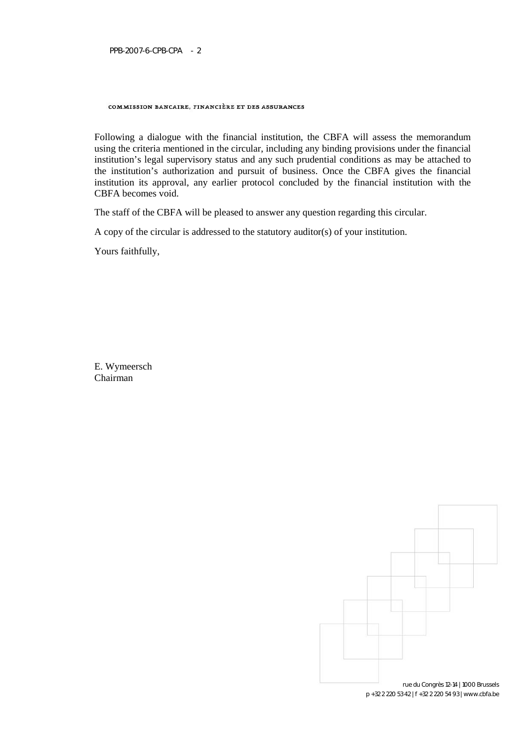#### COMMISSION BANCAIRE, FINANCIÈRE ET DES ASSURANCES

Following a dialogue with the financial institution, the CBFA will assess the memorandum using the criteria mentioned in the circular, including any binding provisions under the financial institution's legal supervisory status and any such prudential conditions as may be attached to the institution's authorization and pursuit of business. Once the CBFA gives the financial institution its approval, any earlier protocol concluded by the financial institution with the CBFA becomes void.

The staff of the CBFA will be pleased to answer any question regarding this circular.

A copy of the circular is addressed to the statutory auditor(s) of your institution.

Yours faithfully,

E. Wymeersch Chairman

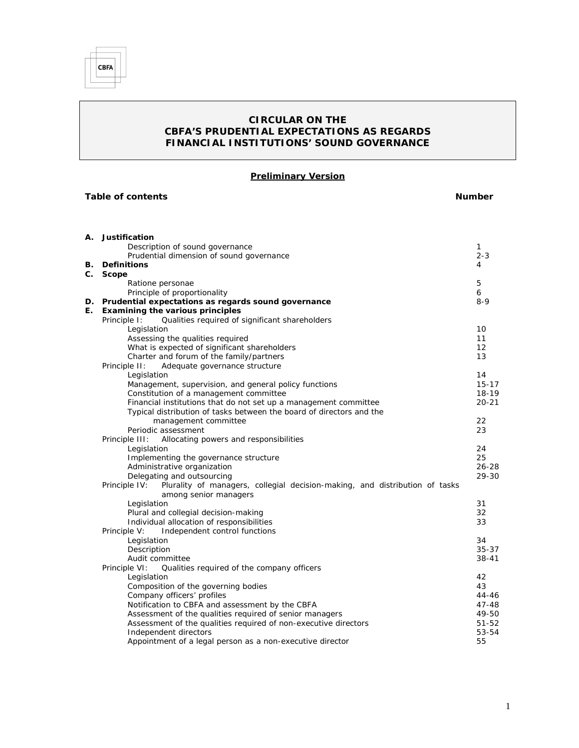

# *CIRCULAR ON THE CBFA'S PRUDENTIAL EXPECTATIONS AS REGARDS FINANCIAL INSTITUTIONS' SOUND GOVERNANCE*

**Preliminary Version**

| Table of contents |                                                                                              | Number    |  |
|-------------------|----------------------------------------------------------------------------------------------|-----------|--|
|                   |                                                                                              |           |  |
|                   | A. Justification                                                                             |           |  |
|                   | Description of sound governance                                                              | 1         |  |
|                   | Prudential dimension of sound governance                                                     | $2 - 3$   |  |
|                   | <b>B.</b> Definitions                                                                        | 4         |  |
| $C_{\cdot}$       | Scope                                                                                        |           |  |
|                   | Ratione personae                                                                             | 5         |  |
|                   | Principle of proportionality                                                                 | 6         |  |
|                   | D. Prudential expectations as regards sound governance                                       | $8 - 9$   |  |
| Е.                | Examining the various principles                                                             |           |  |
|                   | Principle I:<br>Qualities required of significant shareholders                               |           |  |
|                   | Legislation                                                                                  | 10        |  |
|                   | Assessing the qualities required                                                             | 11        |  |
|                   | What is expected of significant shareholders                                                 | 12        |  |
|                   | Charter and forum of the family/partners                                                     | 13        |  |
|                   | Principle II:<br>Adequate governance structure                                               |           |  |
|                   | Legislation                                                                                  | 14        |  |
|                   | Management, supervision, and general policy functions                                        | $15 - 17$ |  |
|                   | Constitution of a management committee                                                       | $18-19$   |  |
|                   | Financial institutions that do not set up a management committee                             | $20 - 21$ |  |
|                   | Typical distribution of tasks between the board of directors and the                         |           |  |
|                   | management committee                                                                         | 22        |  |
|                   | Periodic assessment                                                                          | 23        |  |
|                   | Principle III:<br>Allocating powers and responsibilities                                     |           |  |
|                   | Legislation                                                                                  | 24        |  |
|                   | Implementing the governance structure                                                        | 25        |  |
|                   | Administrative organization                                                                  | $26 - 28$ |  |
|                   | Delegating and outsourcing                                                                   | 29-30     |  |
|                   | Principle IV:<br>Plurality of managers, collegial decision-making, and distribution of tasks |           |  |
|                   | among senior managers                                                                        |           |  |
|                   | Legislation                                                                                  | 31        |  |
|                   | Plural and collegial decision-making                                                         | 32        |  |
|                   | Individual allocation of responsibilities                                                    | 33        |  |
|                   | Independent control functions<br>Principle V:                                                |           |  |
|                   | Legislation                                                                                  | 34        |  |
|                   | Description                                                                                  | $35 - 37$ |  |
|                   | Audit committee                                                                              | $38 - 41$ |  |
|                   | Principle VI:<br>Qualities required of the company officers                                  |           |  |
|                   | Legislation                                                                                  | 42        |  |
|                   | Composition of the governing bodies                                                          | 43        |  |
|                   | Company officers' profiles                                                                   | 44-46     |  |
|                   | Notification to CBFA and assessment by the CBFA                                              | $47 - 48$ |  |
|                   | Assessment of the qualities required of senior managers                                      | 49-50     |  |
|                   | Assessment of the qualities required of non-executive directors                              | $51 - 52$ |  |
|                   | Independent directors                                                                        | 53-54     |  |
|                   | Appointment of a legal person as a non-executive director                                    | 55        |  |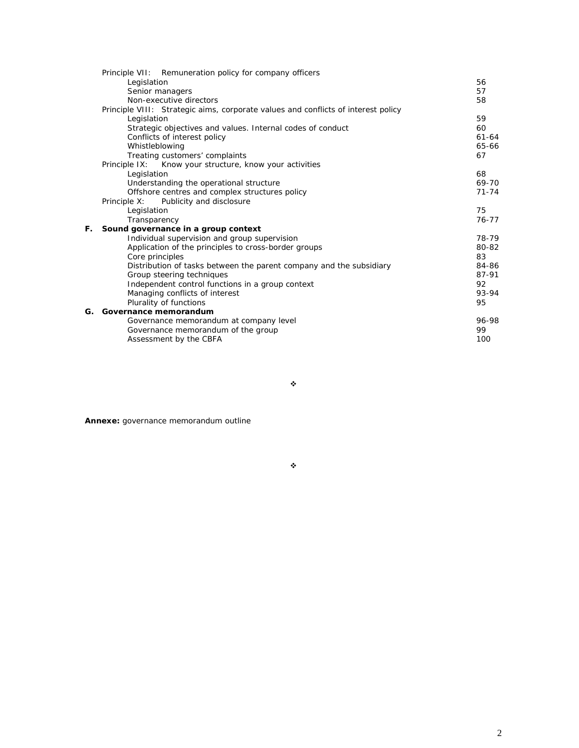|    | Principle VII: Remuneration policy for company officers                           |           |
|----|-----------------------------------------------------------------------------------|-----------|
|    | Legislation                                                                       | 56        |
|    | Senior managers                                                                   | 57        |
|    | Non-executive directors                                                           | 58        |
|    | Principle VIII: Strategic aims, corporate values and conflicts of interest policy |           |
|    | Legislation                                                                       | 59        |
|    | Strategic objectives and values. Internal codes of conduct                        | 60        |
|    | Conflicts of interest policy                                                      | $61 - 64$ |
|    | Whistleblowing                                                                    | 65-66     |
|    | Treating customers' complaints                                                    | 67        |
|    | Principle IX: Know your structure, know your activities                           |           |
|    | Legislation                                                                       | 68        |
|    | Understanding the operational structure                                           | 69-70     |
|    | Offshore centres and complex structures policy                                    | $71 - 74$ |
|    | Publicity and disclosure<br>Principle X:                                          |           |
|    | Legislation                                                                       | 75        |
|    | Transparency                                                                      | 76-77     |
| F. | Sound governance in a group context                                               |           |
|    | Individual supervision and group supervision                                      | 78-79     |
|    | Application of the principles to cross-border groups                              | 80-82     |
|    | Core principles                                                                   | 83        |
|    | Distribution of tasks between the parent company and the subsidiary               | 84-86     |
|    | Group steering techniques                                                         | 87-91     |
|    | Independent control functions in a group context                                  | 92        |
|    | Managing conflicts of interest                                                    | 93-94     |
|    | Plurality of functions                                                            | 95        |
| G. | Governance memorandum                                                             |           |
|    | Governance memorandum at company level                                            | 96-98     |
|    | Governance memorandum of the group                                                | 99        |
|    | Assessment by the CBFA                                                            | 100       |
|    |                                                                                   |           |

 $\ddot{\phi}$ 

**Annexe:** governance memorandum outline

 $\ddot{\phi}$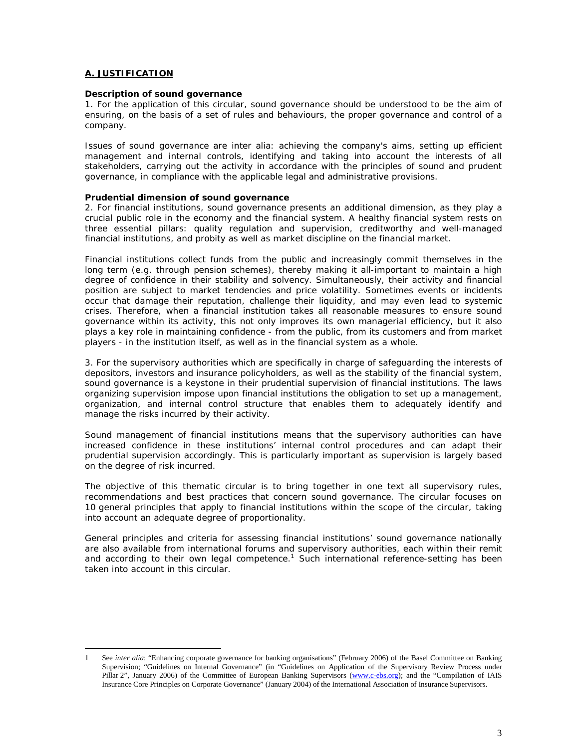#### **A. JUSTIFICATION**

#### **Description of sound governance**

1. For the application of this circular, sound governance should be understood to be the aim of ensuring, on the basis of a set of rules and behaviours, the proper governance and control of a company.

Issues of sound governance are *inter alia*: achieving the company's aims, setting up efficient management and internal controls, identifying and taking into account the interests of all stakeholders, carrying out the activity in accordance with the principles of sound and prudent governance, in compliance with the applicable legal and administrative provisions.

#### **Prudential dimension of sound governance**

2. For financial institutions, sound governance presents an additional dimension, as they play a crucial public role in the economy and the financial system. A healthy financial system rests on three essential pillars: quality regulation and supervision, creditworthy and well-managed financial institutions, and probity as well as market discipline on the financial market.

Financial institutions collect funds from the public and increasingly commit themselves in the long term (e.g. through pension schemes), thereby making it all-important to maintain a high degree of confidence in their stability and solvency. Simultaneously, their activity and financial position are subject to market tendencies and price volatility. Sometimes events or incidents occur that damage their reputation, challenge their liquidity, and may even lead to systemic crises. Therefore, when a financial institution takes all reasonable measures to ensure sound governance within its activity, this not only improves its own managerial efficiency, but it also plays a key role in maintaining confidence - from the public, from its customers and from market players - in the institution itself, as well as in the financial system as a whole.

3. For the supervisory authorities which are specifically in charge of safeguarding the interests of depositors, investors and insurance policyholders, as well as the stability of the financial system, sound governance is a keystone in their prudential supervision of financial institutions. The laws organizing supervision impose upon financial institutions the obligation to set up a management, organization, and internal control structure that enables them to adequately identify and manage the risks incurred by their activity.

Sound management of financial institutions means that the supervisory authorities can have increased confidence in these institutions' internal control procedures and can adapt their prudential supervision accordingly. This is particularly important as supervision is largely based on the degree of risk incurred.

The objective of this thematic circular is to bring together in one text all supervisory rules, recommendations and best practices that concern sound governance. The circular focuses on 10 general principles that apply to financial institutions within the scope of the circular, taking into account an adequate degree of proportionality.

General principles and criteria for assessing financial institutions' sound governance nationally are also available from international forums and supervisory authorities, each within their remit andaccording to their own legal competence.<sup>1</sup> Such international reference-setting has been taken into account in this circular.

<span id="page-4-0"></span><sup>1</sup> See *inter alia*: "Enhancing corporate governance for banking organisations" (February 2006) of the Basel Committee on Banking Supervision; "Guidelines on Internal Governance" (in "Guidelines on Application of the Supervisory Review Process under Pillar 2", January 2006) of the Committee of European Banking Supervisors (www.c-ebs.org); and the "Compilation of IAIS Insurance Core Principles on Corporate Governance" (January 2004) of the International Association of Insurance Supervisors.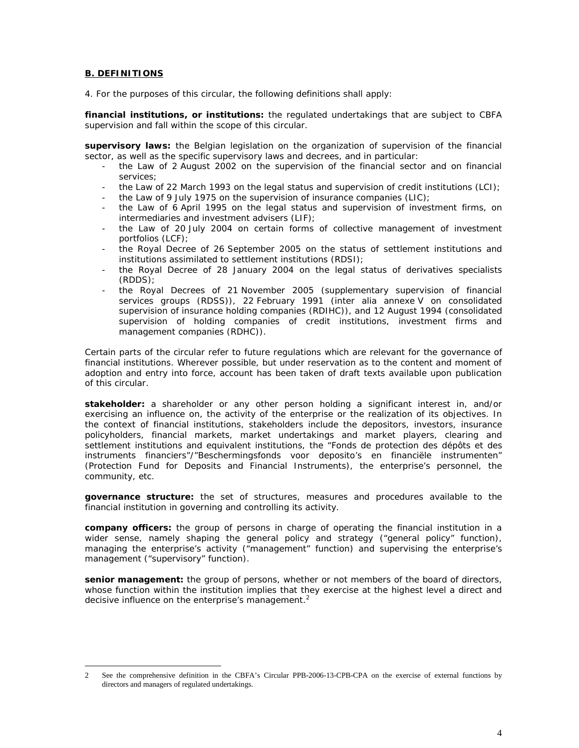## **B. DEFINITIONS**

4. For the purposes of this circular, the following definitions shall apply:

**financial institutions, or institutions:** the regulated undertakings that are subject to CBFA supervision and fall within the scope of this circular.

**supervisory laws:** the Belgian legislation on the organization of supervision of the financial sector, as well as the specific supervisory laws and decrees, and in particular:

- the Law of 2 August 2002 on the supervision of the financial sector and on financial services;
- the Law of 22 March 1993 on the legal status and supervision of credit institutions (LCI);
- the Law of 9 July 1975 on the supervision of insurance companies (LIC);
- the Law of 6 April 1995 on the legal status and supervision of investment firms, on intermediaries and investment advisers (LIF);
- the Law of 20 July 2004 on certain forms of collective management of investment portfolios (LCF);
- the Royal Decree of 26 September 2005 on the status of settlement institutions and institutions assimilated to settlement institutions (RDSI);
- the Royal Decree of 28 January 2004 on the legal status of derivatives specialists (RDDS);
- the Royal Decrees of 21 November 2005 (supplementary supervision of financial services groups (RDSS)), 22 February 1991 (*inter alia* annexe V on consolidated supervision of insurance holding companies (RDIHC)), and 12 August 1994 (consolidated supervision of holding companies of credit institutions, investment firms and management companies (RDHC)).

Certain parts of the circular refer to future regulations which are relevant for the governance of financial institutions. Wherever possible, but under reservation as to the content and moment of adoption and entry into force, account has been taken of draft texts available upon publication of this circular.

**stakeholder:** a shareholder or any other person holding a significant interest in, and/or exercising an influence on, the activity of the enterprise or the realization of its objectives. In the context of financial institutions, stakeholders include the depositors, investors, insurance policyholders, financial markets, market undertakings and market players, clearing and settlement institutions and equivalent institutions, the "Fonds de protection des dépôts et des instruments financiers"/"Beschermingsfonds voor deposito's en financiële instrumenten" (Protection Fund for Deposits and Financial Instruments), the enterprise's personnel, the community, etc.

**governance structure:** the set of structures, measures and procedures available to the financial institution in governing and controlling its activity.

**company officers:** the group of persons in charge of operating the financial institution in a wider sense, namely shaping the general policy and strategy ("general policy" function), managing the enterprise's activity ("management" function) and supervising the enterprise's management ("supervisory" function).

**senior management:** the group of persons, whether or not members of the board of directors, whose function within the institution implies that they exercise at the highest level a direct and decisive influence on the enterprise's management. $2$ 

<sup>2</sup> See the comprehensive definition in the CBFA's Circular PPB-2006-13-CPB-CPA on the exercise of external functions by directors and managers of regulated undertakings.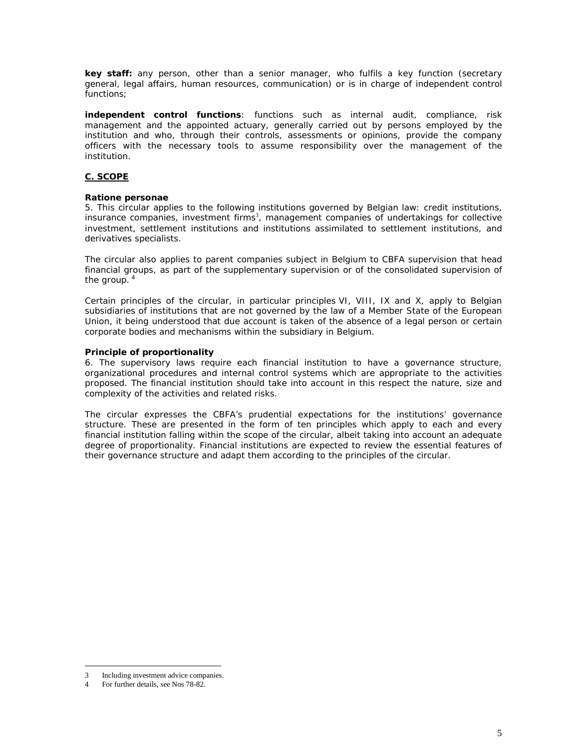**key staff:** any person, other than a senior manager, who fulfils a key function (secretary general, legal affairs, human resources, communication) or is in charge of independent control functions;

**independent control functions**: functions such as internal audit, compliance, risk management and the appointed actuary, generally carried out by persons employed by the institution and who, through their controls, assessments or opinions, provide the company officers with the necessary tools to assume responsibility over the management of the institution.

# **C. SCOPE**

## *Ratione personae*

5. This circular applies to the following institutions governed by Belgian law: credit institutions, insurance companies[,](#page-6-0) investment firms<sup>3</sup>, management companies of undertakings for collective investment, settlement institutions and institutions assimilated to settlement institutions, and derivatives specialists.

The circular also applies to parent companies subject in Belgium to CBFA supervision that head financial groups, as part of the supplementary supervision or of the consolidated supervision of the group.<sup>[4](#page-6-1)</sup>

Certain principles of the circular, in particular principles VI, VIII, IX and X, apply to Belgian subsidiaries of institutions that are not governed by the law of a Member State of the European Union, it being understood that due account is taken of the absence of a legal person or certain corporate bodies and mechanisms within the subsidiary in Belgium.

## **Principle of proportionality**

6. The supervisory laws require each financial institution to have a governance structure, organizational procedures and internal control systems which are appropriate to the activities proposed. The financial institution should take into account in this respect the nature, size and complexity of the activities and related risks.

The circular expresses the CBFA's prudential expectations for the institutions' governance structure. These are presented in the form of ten principles which apply to each and every financial institution falling within the scope of the circular, albeit taking into account an adequate degree of proportionality. Financial institutions are expected to review the essential features of their governance structure and adapt them according to the principles of the circular.

<span id="page-6-0"></span>Including investment advice companies.

<span id="page-6-1"></span>For further details, see Nos 78-82.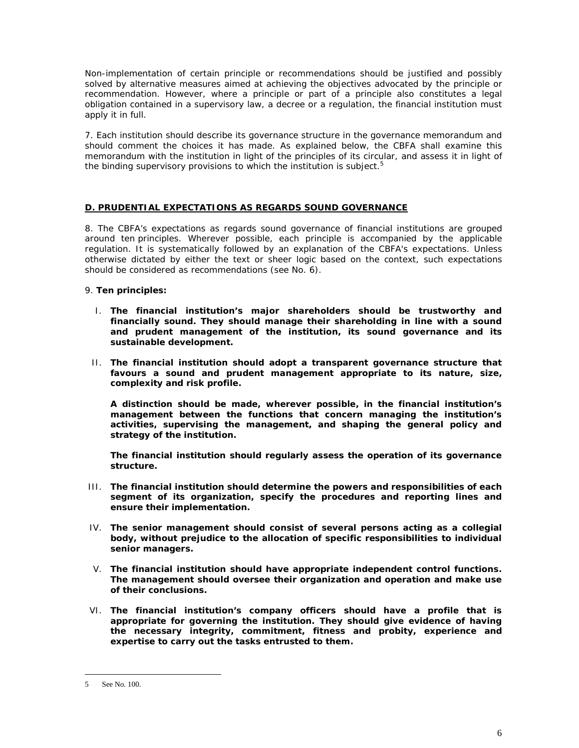Non-implementation of certain principle or recommendations should be justified and possibly solved by alternative measures aimed at achieving the objectives advocated by the principle or recommendation. However, where a principle or part of a principle also constitutes a legal obligation contained in a supervisory law, a decree or a regulation, the financial institution must apply it in full.

7. Each institution should describe its governance structure in the governance memorandum and should comment the choices it has made. As explained below, the CBFA shall examine this memorandum with the institution in light of the principles of its circula[r,](#page-7-0) and assess it in light of the binding supervisory provisions to which the institution is subject. $5$ 

# **D. PRUDENTIAL EXPECTATIONS AS REGARDS SOUND GOVERNANCE**

8. The CBFA's expectations as regards sound governance of financial institutions are grouped around ten principles. Wherever possible, each principle is accompanied by the applicable regulation. It is systematically followed by an explanation of the CBFA's expectations. Unless otherwise dictated by either the text or sheer logic based on the context, such expectations should be considered as recommendations (see No. 6).

9. **Ten principles:**

- *I. The financial institution's major shareholders should be trustworthy and financially sound. They should manage their shareholding in line with a sound and prudent management of the institution, its sound governance and its sustainable development.*
- *II. The financial institution should adopt a transparent governance structure that favours a sound and prudent management appropriate to its nature, size, complexity and risk profile.*

*A distinction should be made, wherever possible, in the financial institution's management between the functions that concern managing the institution's activities, supervising the management, and shaping the general policy and strategy of the institution.*

*The financial institution should regularly assess the operation of its governance structure.*

- *III. The financial institution should determine the powers and responsibilities of each segment of its organization, specify the procedures and reporting lines and ensure their implementation.*
- *IV. The senior management should consist of several persons acting as a collegial body, without prejudice to the allocation of specific responsibilities to individual senior managers.*
- *V. The financial institution should have appropriate independent control functions. The management should oversee their organization and operation and make use of their conclusions.*
- *VI. The financial institution's company officers should have a profile that is appropriate for governing the institution. They should give evidence of having the necessary integrity, commitment, fitness and probity, experience and expertise to carry out the tasks entrusted to them.*

<span id="page-7-0"></span><sup>5</sup> See No. 100.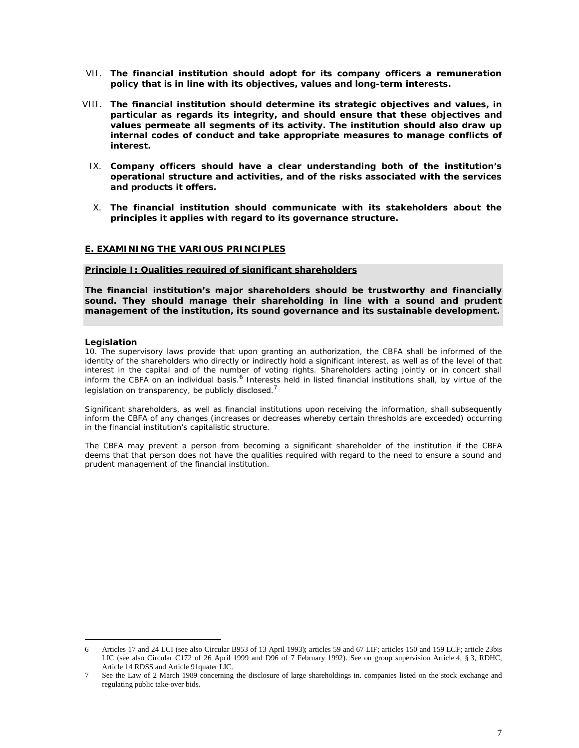- *VII. The financial institution should adopt for its company officers a remuneration policy that is in line with its objectives, values and long-term interests.*
- *VIII. The financial institution should determine its strategic objectives and values, in particular as regards its integrity, and should ensure that these objectives and values permeate all segments of its activity. The institution should also draw up internal codes of conduct and take appropriate measures to manage conflicts of interest.*
- *IX. Company officers should have a clear understanding both of the institution's operational structure and activities, and of the risks associated with the services and products it offers.*
- *X. The financial institution should communicate with its stakeholders about the principles it applies with regard to its governance structure.*

## **E. EXAMINING THE VARIOUS PRINCIPLES**

#### **Principle I: Qualities required of significant shareholders**

*The financial institution's major shareholders should be trustworthy and financially sound. They should manage their shareholding in line with a sound and prudent management of the institution, its sound governance and its sustainable development.*

#### **Legislation**

*10. The supervisory laws provide that upon granting an authorization, the CBFA shall be informed of the identity of the shareholders who directly or indirectly hold a significant interest, as well as of the level of that interest in the capital and of the number of voting rights. Shareholders acting jointly or in concert shall inform the CBFA on an individual basi[s.](#page-8-0)<sup>6</sup> Interests held in listed financial institutions shall, by virtue of the legislation on transparency, be publicly disclosed.<sup>7</sup>*

*Significant shareholders, as well as financial institutions upon receiving the information, shall subsequently inform the CBFA of any changes (increases or decreases whereby certain thresholds are exceeded) occurring in the financial institution's capitalistic structure.*

*The CBFA may prevent a person from becoming a significant shareholder of the institution if the CBFA deems that that person does not have the qualities required with regard to the need to ensure a sound and prudent management of the financial institution.*

<span id="page-8-0"></span><sup>6</sup> Articles 17 and 24 LCI (see also Circular B953 of 13 April 1993); articles 59 and 67 LIF; articles 150 and 159 LCF; article 23bis LIC (see also Circular C172 of 26 April 1999 and D96 of 7 February 1992). See on group supervision Article 4, § 3, RDHC, Article 14 RDSS and Article 91quater LIC.

<sup>7</sup> See the Law of 2 March 1989 concerning the disclosure of large shareholdings in. companies listed on the stock exchange and regulating public take-over bids.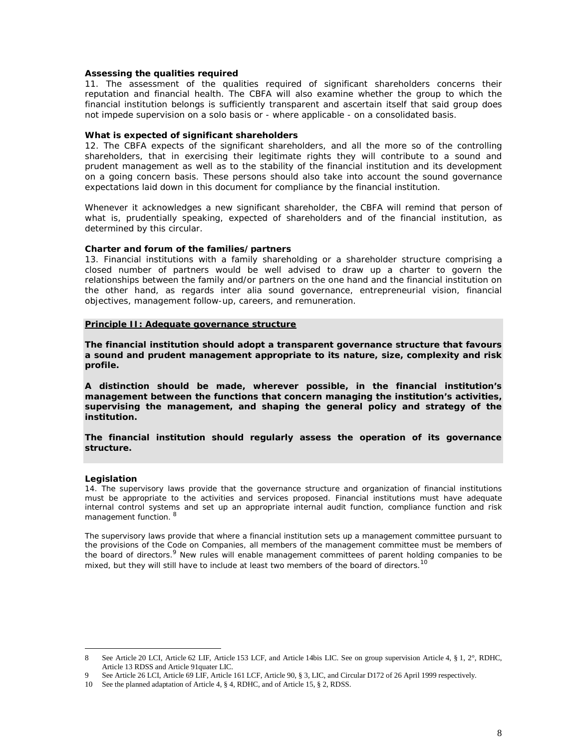#### **Assessing the qualities required**

11. The assessment of the qualities required of significant shareholders concerns their reputation and financial health. The CBFA will also examine whether the group to which the financial institution belongs is sufficiently transparent and ascertain itself that said group does not impede supervision on a solo basis or - where applicable - on a consolidated basis.

#### **What is expected of significant shareholders**

12. The CBFA expects of the significant shareholders, and all the more so of the controlling shareholders, that in exercising their legitimate rights they will contribute to a sound and prudent management as well as to the stability of the financial institution and its development on a going concern basis. These persons should also take into account the sound governance expectations laid down in this document for compliance by the financial institution.

Whenever it acknowledges a new significant shareholder, the CBFA will remind that person of what is, prudentially speaking, expected of shareholders and of the financial institution, as determined by this circular.

**Charter and forum of the families/partners**

13. Financial institutions with a family shareholding or a shareholder structure comprising a closed number of partners would be well advised to draw up a charter to govern the relationships between the family and/or partners on the one hand and the financial institution on the other hand, as regards *inter alia* sound governance, entrepreneurial vision, financial objectives, management follow-up, careers, and remuneration.

#### **Principle II: Adequate governance structure**

*The financial institution should adopt a transparent governance structure that favours a sound and prudent management appropriate to its nature, size, complexity and risk profile.*

*A distinction should be made, wherever possible, in the financial institution's management between the functions that concern managing the institution's activities, supervising the management, and shaping the general policy and strategy of the institution.*

*The financial institution should regularly assess the operation of its governance structure.*

#### **Legislation**

*14. The supervisory laws provide that the governance structure and organization of financial institutions must be appropriate to the activities and services proposed. Financial institutions must have adequate internal control systems and set up an appropriate internal audit function, compliance function and risk management function.<sup>8</sup>*

*The supervisory laws provide that where a financial institution sets up a management committee pursuant to the provisions of the Code on Companies, all members of the management committee must be members of the board of directors.[9](#page-9-0) New rules will enable management committees of parent holding [co](#page-9-1)mpanies to be mixed, but they will still have to include at least two members of the board of directors.<sup>10</sup>*

<sup>8</sup> See Article 20 LCI, Article 62 LIF, Article 153 LCF, and Article 14bis LIC. See on group supervision Article 4, § 1, 2°, RDHC, Article 13 RDSS and Article 91quater LIC.

<span id="page-9-0"></span>See Article 26 LCI, Article 69 LIF, Article 161 LCF, Article 90, § 3, LIC, and Circular D172 of 26 April 1999 respectively.

<span id="page-9-1"></span><sup>10</sup> See the planned adaptation of Article 4, § 4, RDHC, and of Article 15, § 2, RDSS.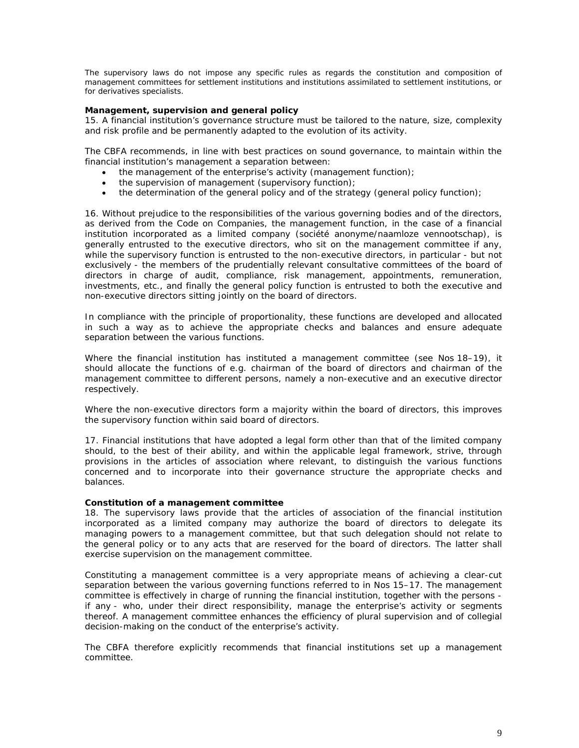*The supervisory laws do not impose any specific rules as regards the constitution and composition of management committees for settlement institutions and institutions assimilated to settlement institutions, or for derivatives specialists.*

**Management, supervision and general policy**

15. A financial institution's governance structure must be tailored to the nature, size, complexity and risk profile and be permanently adapted to the evolution of its activity.

The CBFA recommends, in line with best practices on sound governance, to maintain within the financial institution's management a separation between:

- $\bullet$  the management of the enterprise's activity (management function);
- the supervision of management (supervisory function);
- $\bullet$  the determination of the general policy and of the strategy (general policy function);

16. Without prejudice to the responsibilities of the various governing bodies and of the directors, as derived from the Code on Companies, the management function, in the case of a financial institution incorporated as a limited company (*société anonyme*/*naamloze vennootschap*), is generally entrusted to the executive directors, who sit on the management committee if any, while the supervisory function is entrusted to the non-executive directors, in particular - but not exclusively - the members of the prudentially relevant consultative committees of the board of directors in charge of audit, compliance, risk management, appointments, remuneration, investments, etc., and finally the general policy function is entrusted to both the executive and non-executive directors sitting jointly on the board of directors.

In compliance with the principle of proportionality, these functions are developed and allocated in such a way as to achieve the appropriate checks and balances and ensure adequate separation between the various functions.

Where the financial institution has instituted a management committee (see Nos 18–19), it should allocate the functions of e.g. chairman of the board of directors and chairman of the management committee to different persons, namely a non-executive and an executive director respectively.

Where the non-executive directors form a majority within the board of directors, this improves the supervisory function within said board of directors.

17. Financial institutions that have adopted a legal form other than that of the limited company should, to the best of their ability, and within the applicable legal framework, strive, through provisions in the articles of association where relevant, to distinguish the various functions concerned and to incorporate into their governance structure the appropriate checks and balances.

#### **Constitution of a management committee**

18. The supervisory laws provide that the articles of association of the financial institution incorporated as a limited company may authorize the board of directors to delegate its managing powers to a management committee, but that such delegation should not relate to the general policy or to any acts that are reserved for the board of directors. The latter shall exercise supervision on the management committee.

Constituting a management committee is a very appropriate means of achieving a clear-cut separation between the various governing functions referred to in Nos 15–17. The management committee is effectively in charge of running the financial institution, together with the persons if any - who, under their direct responsibility, manage the enterprise's activity or segments thereof. A management committee enhances the efficiency of plural supervision and of collegial decision-making on the conduct of the enterprise's activity.

The CBFA therefore explicitly recommends that financial institutions set up a management committee.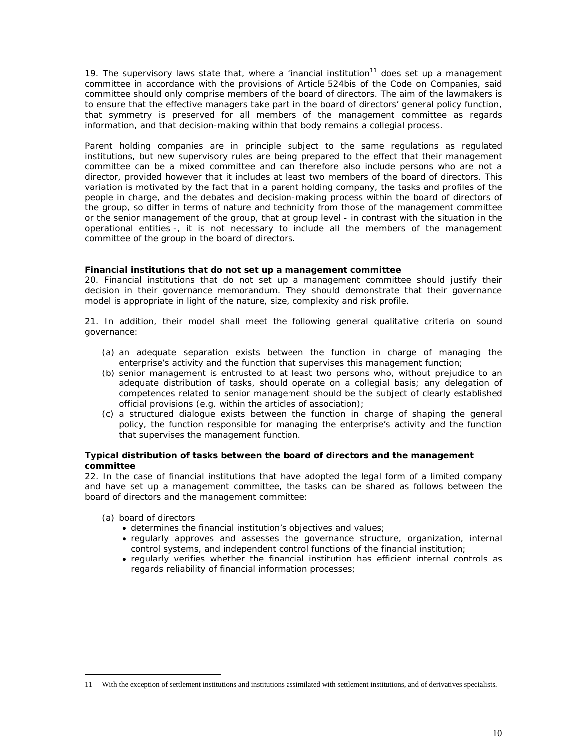19. The supervisory laws state that, where a financial institution<sup>[11](#page-11-0)</sup> does set up a management committee in accordance with the provisions of Article 524bis of the Code on Companies, said committee should only comprise members of the board of directors. The aim of the lawmakers is to ensure that the effective managers take part in the board of directors' general policy function, that symmetry is preserved for all members of the management committee as regards information, and that decision-making within that body remains a collegial process.

Parent holding companies are in principle subject to the same regulations as regulated institutions, but new supervisory rules are being prepared to the effect that their management committee can be a mixed committee and can therefore also include persons who are not a director, provided however that it includes at least two members of the board of directors. This variation is motivated by the fact that in a parent holding company, the tasks and profiles of the people in charge, and the debates and decision-making process within the board of directors of the group, so differ in terms of nature and technicity from those of the management committee or the senior management of the group, that at group level - in contrast with the situation in the operational entities -, it is not necessary to include all the members of the management committee of the group in the board of directors.

**Financial institutions that do not set up a management committee**

20. Financial institutions that do not set up a management committee should justify their decision in their governance memorandum. They should demonstrate that their governance model is appropriate in light of the nature, size, complexity and risk profile.

21. In addition, their model shall meet the following general qualitative criteria on sound governance:

- (a) an adequate separation exists between the function in charge of managing the enterprise's activity and the function that supervises this management function;
- (b) senior management is entrusted to at least two persons who, without prejudice to an adequate distribution of tasks, should operate on a collegial basis; any delegation of competences related to senior management should be the subject of clearly established official provisions (e.g. within the articles of association);
- (c) a structured dialogue exists between the function in charge of shaping the general policy, the function responsible for managing the enterprise's activity and the function that supervises the management function.

**Typical distribution of tasks between the board of directors and the management committee**

22. In the case of financial institutions that have adopted the legal form of a limited company and have set up a management committee, the tasks can be shared as follows between the board of directors and the management committee:

- (a) board of directors
	- determines the financial institution's objectives and values;
	- regularly approves and assesses the governance structure, organization, internal control systems, and independent control functions of the financial institution;
	- x regularly verifies whether the financial institution has efficient internal controls as regards reliability of financial information processes;

<span id="page-11-0"></span><sup>11</sup> With the exception of settlement institutions and institutions assimilated with settlement institutions, and of derivatives specialists.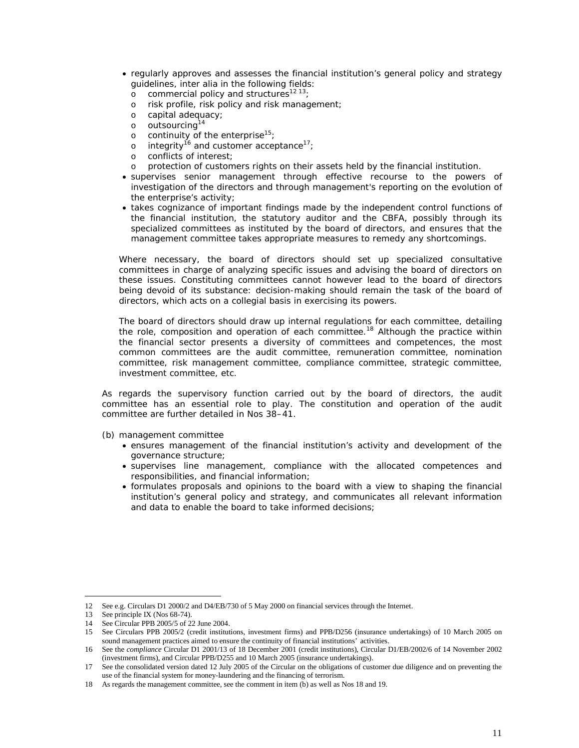- regularly approves and assesses the financial institution's general policy and strategy guidelines, *inter alia* in the following fields:
	- o commercial policy and structures<sup>12 [13](#page-12-0)</sup>[;](#page-12-1)
	- o risk profile, risk policy and risk management;
	- o capital adequacy;
	- o outsourcing<sup>[14](#page-12-2)</sup>
	- o continuity of the enterprise $15$ [;](#page-12-3)
	- o integrity<sup>[16](#page-12-4)</sup> and customer acceptance<sup>17</sup>[;](#page-12-5)
	- o conflicts of interest;
	- o protection of customers rights on their assets held by the financial institution.
- supervises senior management through effective recourse to the powers of investigation of the directors and through management's reporting on the evolution of the enterprise's activity;
- takes cognizance of important findings made by the independent control functions of the financial institution, the statutory auditor and the CBFA, possibly through its specialized committees as instituted by the board of directors, and ensures that the management committee takes appropriate measures to remedy any shortcomings.

Where necessary, the board of directors should set up specialized consultative committees in charge of analyzing specific issues and advising the board of directors on these issues. Constituting committees cannot however lead to the board of directors being devoid of its substance: decision-making should remain the task of the board of directors, which acts on a collegial basis in exercising its powers.

The board of directors should draw up internal regulations for each committee, detailing the role, composition and operation of each committee.<sup>[18](#page-12-6)</sup> Although the practice within the financial sector presents a diversity of committees and competences, the most common committees are the audit committee, remuneration committee, nomination committee, risk management committee, compliance committee, strategic committee, investment committee, etc.

As regards the supervisory function carried out by the board of directors, the audit committee has an essential role to play. The constitution and operation of the audit committee are further detailed in Nos 38–41.

(b) management committee

- x ensures management of the financial institution's activity and development of the governance structure;
- supervises line management, compliance with the allocated competences and responsibilities, and financial information;
- x formulates proposals and opinions to the board with a view to shaping the financial institution's general policy and strategy, and communicates all relevant information and data to enable the board to take informed decisions;

<span id="page-12-0"></span><sup>12</sup> See e.g. Circulars D1 2000/2 and D4/EB/730 of 5 May 2000 on financial services through the Internet.

<span id="page-12-1"></span><sup>13</sup> See principle IX (Nos 68-74).

<span id="page-12-2"></span><sup>14</sup> See Circular PPB 2005/5 of 22 June 2004.

<span id="page-12-3"></span><sup>15</sup> See Circulars PPB 2005/2 (credit institutions, investment firms) and PPB/D256 (insurance undertakings) of 10 March 2005 on sound management practices aimed to ensure the continuity of financial institutions' activities.

<span id="page-12-4"></span><sup>16</sup> See the *compliance* Circular D1 2001/13 of 18 December 2001 (credit institutions), Circular D1/EB/2002/6 of 14 November 2002 (investment firms), and Circular PPB/D255 and 10 March 2005 (insurance undertakings).

<span id="page-12-5"></span><sup>17</sup> See the consolidated version dated 12 July 2005 of the Circular on the obligations of customer due diligence and on preventing the use of the financial system for money-laundering and the financing of terrorism.

<span id="page-12-6"></span><sup>18</sup> As regards the management committee, see the comment in item (b) as well as Nos 18 and 19.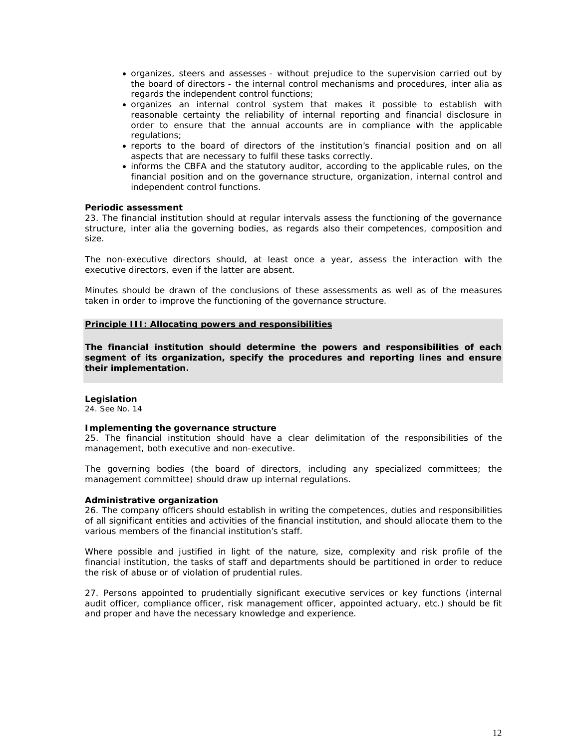- x organizes, steers and assesses without prejudice to the supervision carried out by the board of directors - the internal control mechanisms and procedures, *inter alia* as regards the independent control functions;
- x organizes an internal control system that makes it possible to establish with reasonable certainty the reliability of internal reporting and financial disclosure in order to ensure that the annual accounts are in compliance with the applicable regulations;
- x reports to the board of directors of the institution's financial position and on all aspects that are necessary to fulfil these tasks correctly.
- informs the CBFA and the statutory auditor, according to the applicable rules, on the financial position and on the governance structure, organization, internal control and independent control functions.

**Periodic assessment**

23. The financial institution should at regular intervals assess the functioning of the governance structure, *inter alia* the governing bodies, as regards also their competences, composition and size.

The non-executive directors should, at least once a year, assess the interaction with the executive directors, even if the latter are absent.

Minutes should be drawn of the conclusions of these assessments as well as of the measures taken in order to improve the functioning of the governance structure.

## **Principle III: Allocating powers and responsibilities**

*The financial institution should determine the powers and responsibilities of each segment of its organization, specify the procedures and reporting lines and ensure their implementation.*

**Legislation** *24. See No. 14*

**Implementing the governance structure**

25. The financial institution should have a clear delimitation of the responsibilities of the management, both executive and non-executive.

The governing bodies (the board of directors, including any specialized committees; the management committee) should draw up internal regulations.

**Administrative organization**

26. The company officers should establish in writing the competences, duties and responsibilities of all significant entities and activities of the financial institution, and should allocate them to the various members of the financial institution's staff.

Where possible and justified in light of the nature, size, complexity and risk profile of the financial institution, the tasks of staff and departments should be partitioned in order to reduce the risk of abuse or of violation of prudential rules.

27. Persons appointed to prudentially significant executive services or key functions (internal audit officer, compliance officer, risk management officer, appointed actuary, etc.) should be fit and proper and have the necessary knowledge and experience.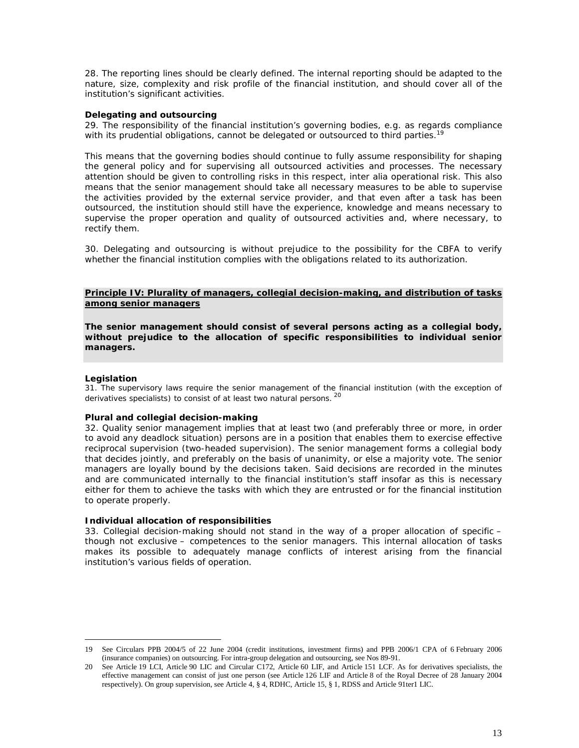28. The reporting lines should be clearly defined. The internal reporting should be adapted to the nature, size, complexity and risk profile of the financial institution, and should cover all of the institution's significant activities.

## **Delegating and outsourcing**

29. The responsibility of the financial institution's governing bodies, e.g. as regards [c](#page-14-0)ompliance with its prudential obligations, cannot be delegated or outsourced to third parties.<sup>19</sup>

This means that the governing bodies should continue to fully assume responsibility for shaping the general policy and for supervising all outsourced activities and processes. The necessary attention should be given to controlling risks in this respect, *inter alia* operational risk. This also means that the senior management should take all necessary measures to be able to supervise the activities provided by the external service provider, and that even after a task has been outsourced, the institution should still have the experience, knowledge and means necessary to supervise the proper operation and quality of outsourced activities and, where necessary, to rectify them.

30. Delegating and outsourcing is without prejudice to the possibility for the CBFA to verify whether the financial institution complies with the obligations related to its authorization.

## **Principle IV: Plurality of managers, collegial decision-making, and distribution of tasks among senior managers**

*The senior management should consist of several persons acting as a collegial body, without prejudice to the allocation of specific responsibilities to individual senior managers.*

## **Legislation**

*31. The supervisory laws require the senior management of the financial institution (with the exception of derivatives specialists) to consist of at least two natural persons. <sup>20</sup>*

# **Plural and collegial decision-making**

32. Quality senior management implies that at least two (and preferably three or more, in order to avoid any deadlock situation) persons are in a position that enables them to exercise effective reciprocal supervision (two-headed supervision). The senior management forms a collegial body that decides jointly, and preferably on the basis of unanimity, or else a majority vote. The senior managers are loyally bound by the decisions taken. Said decisions are recorded in the minutes and are communicated internally to the financial institution's staff insofar as this is necessary either for them to achieve the tasks with which they are entrusted or for the financial institution to operate properly.

## **Individual allocation of responsibilities**

33. Collegial decision-making should not stand in the way of a proper allocation of specific – though not exclusive – competences to the senior managers. This internal allocation of tasks makes its possible to adequately manage conflicts of interest arising from the financial institution's various fields of operation.

<span id="page-14-0"></span><sup>19</sup> See Circulars PPB 2004/5 of 22 June 2004 (credit institutions, investment firms) and PPB 2006/1 CPA of 6 February 2006 (insurance companies) on outsourcing. For intra-group delegation and outsourcing, see Nos 89-91.

<sup>20</sup> See Article 19 LCI, Article 90 LIC and Circular C172, Article 60 LIF, and Article 151 LCF. As for derivatives specialists, the effective management can consist of just one person (see Article 126 LIF and Article 8 of the Royal Decree of 28 January 2004 respectively). On group supervision, see Article 4, § 4, RDHC, Article 15, § 1, RDSS and Article 91ter1 LIC.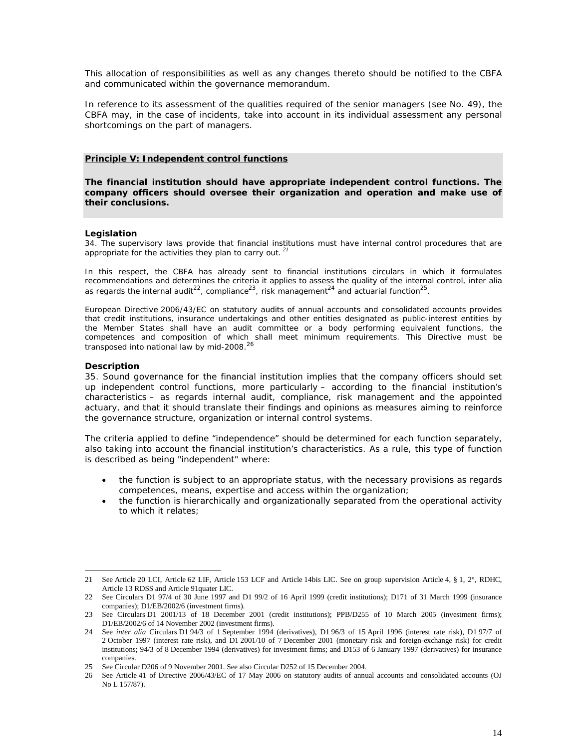This allocation of responsibilities as well as any changes thereto should be notified to the CBFA and communicated within the governance memorandum.

In reference to its assessment of the qualities required of the senior managers (see No. 49), the CBFA may, in the case of incidents, take into account in its individual assessment any personal shortcomings on the part of managers.

## **Principle V: Independent control functions**

*The financial institution should have appropriate independent control functions. The company officers should oversee their organization and operation and make use of their conclusions.*

## **Legislation**

*34. The supervisory laws provide that financial instit[utio](#page-15-0)ns must have internal control procedures that are appropriate for the activities they plan to carry out.<sup>21</sup>*

*In this respect, the CBFA has already sent to financial institutions circulars in which it formulates recommendations and determines the criteria it applies to assess the quality of the internal control,* inter alia *as regards the internal audit22[, c](#page-15-1)ompliance23[, ri](#page-15-2)sk management24 [and](#page-15-3) actuarial function<sup>25</sup> .*

*European Directive 2006/43/EC on statutory audits of annual accounts and consolidated accounts provides that credit institutions, insurance undertakings and other entities designated as public-interest entities by the Member States shall have an audit committee or a body performing equivalent functions, the competences and composition of which [sh](#page-15-4)all meet minimum requirements. This Directive must be transposed into national law by mid-2008.<sup>26</sup>*

## **Description**

35. Sound governance for the financial institution implies that the company officers should set up independent control functions, more particularly – according to the financial institution's characteristics – as regards internal audit, compliance, risk management and the appointed actuary, and that it should translate their findings and opinions as measures aiming to reinforce the governance structure, organization or internal control systems.

The criteria applied to define "independence" should be determined for each function separately, also taking into account the financial institution's characteristics. As a rule, this type of function is described as being "independent" where:

- the function is subject to an appropriate status, with the necessary provisions as regards competences, means, expertise and access within the organization;
- the function is hierarchically and organizationally separated from the operational activity to which it relates;

<span id="page-15-0"></span><sup>21</sup> See Article 20 LCI, Article 62 LIF, Article 153 LCF and Article 14bis LIC. See on group supervision Article 4, § 1, 2°, RDHC, Article 13 RDSS and Article 91quater LIC.

<span id="page-15-1"></span><sup>22</sup> See Circulars D1 97/4 of 30 June 1997 and D1 99/2 of 16 April 1999 (credit institutions); D171 of 31 March 1999 (insurance companies); D1/EB/2002/6 (investment firms).

<span id="page-15-2"></span><sup>23</sup> See Circulars D1 2001/13 of 18 December 2001 (credit institutions); PPB/D255 of 10 March 2005 (investment firms); D1/EB/2002/6 of 14 November 2002 (investment firms).

<span id="page-15-3"></span><sup>24</sup> See *inter alia* Circulars D1 94/3 of 1 September 1994 (derivatives), D1 96/3 of 15 April 1996 (interest rate risk), D1 97/7 of 2 October 1997 (interest rate risk), and D1 2001/10 of 7 December 2001 (monetary risk and foreign-exchange risk) for credit institutions; 94/3 of 8 December 1994 (derivatives) for investment firms; and D153 of 6 January 1997 (derivatives) for insurance companies.

<sup>25</sup> See Circular D206 of 9 November 2001. See also Circular D252 of 15 December 2004.

<span id="page-15-4"></span><sup>26</sup> See Article 41 of Directive 2006/43/EC of 17 May 2006 on statutory audits of annual accounts and consolidated accounts (OJ No L 157/87).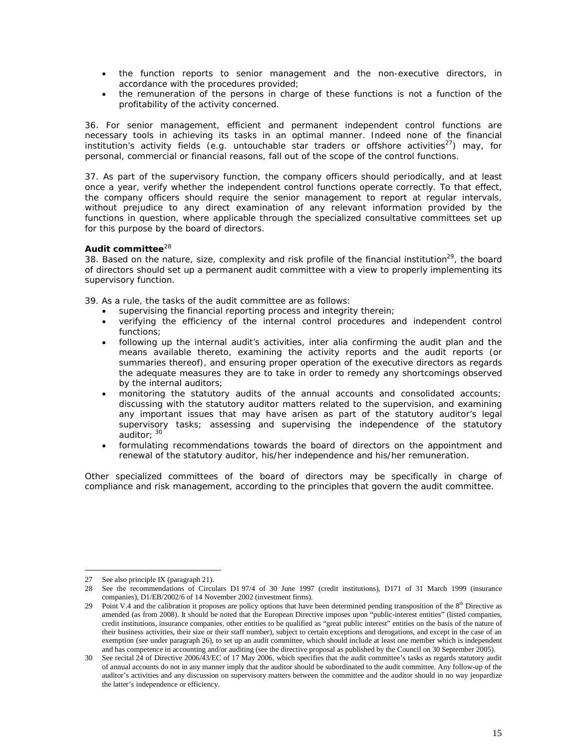- the function reports to senior management and the non-executive directors, in accordance with the procedures provided;
- the remuneration of the persons in charge of these functions is not a function of the profitability of the activity concerned.

36. For senior management, efficient and permanent independent control functions are necessary tools in achieving its tasks in an optimal manner. Indeed none of the financial institution's activity fields (e.g. untouchable star traders or offshore activities<sup>[27](#page-16-0)</sup>) may, for personal, commercial or financial reasons, fall out of the scope of the control functions.

37. As part of the supervisory function, the company officers should periodically, and at least once a year, verify whether the independent control functions operate correctly. To that effect, the company officers should require the senior management to report at regular intervals, without prejudice to any direct examination of any relevant information provided by the functions in question, where applicable through the specialized consultative committees set up for this purpose by the board of directors.

# Audit committee<sup>[28](#page-16-1)</sup>

38. Based on the nature, size, complexity and risk profile of the financial institution<sup>[29](#page-16-2)</sup>, the board of directors should set up a permanent audit committee with a view to properly implementing its supervisory function.

39. As a rule, the tasks of the audit committee are as follows:

- supervising the financial reporting process and integrity therein;
- x verifying the efficiency of the internal control procedures and independent control functions;
- following up the internal audit's activities, *inter alia* confirming the audit plan and the means available thereto, examining the activity reports and the audit reports (or summaries thereof), and ensuring proper operation of the executive directors as regards the adequate measures they are to take in order to remedy any shortcomings observed by the internal auditors;
- monitoring the statutory audits of the annual accounts and consolidated accounts; discussing with the statutory auditor matters related to the supervision, and examining any important issues that may have arisen as part of the statutory auditor's legal supervisory tasks; assessing and supervising the independence of the statutory auditor; [30](#page-16-3)
- formulating recommendations towards the board of directors on the appointment and renewal of the statutory auditor, his/her independence and his/her remuneration.

Other specialized committees of the board of directors may be specifically in charge of compliance and risk management, according to the principles that govern the audit committee.

<span id="page-16-0"></span><sup>27</sup> See also principle IX (paragraph 21).

<span id="page-16-1"></span><sup>28</sup> See the recommendations of Circulars D1 97/4 of 30 June 1997 (credit institutions), D171 of 31 March 1999 (insurance companies), D1/EB/2002/6 of 14 November 2002 (investment firms).

<span id="page-16-2"></span><sup>29</sup> Point V.4 and the calibration it proposes are policy options that have been determined pending transposition of the  $8<sup>th</sup>$  Directive as amended (as from 2008). It should be noted that the European Directive imposes upon "public-interest entities" (listed companies, credit institutions, insurance companies, other entities to be qualified as "great public interest" entities on the basis of the nature of their business activities, their size or their staff number), subject to certain exceptions and derogations, and except in the case of an exemption (see under paragraph 26), to set up an audit committee, which should include at least one member which is independent and has competence in accounting and/or auditing (see the directive proposal as published by the Council on 30 September 2005).

<span id="page-16-3"></span><sup>30</sup> See recital 24 of Directive 2006/43/EC of 17 May 2006, which specifies that the audit committee's tasks as regards statutory audit of annual accounts do not in any manner imply that the auditor should be subordinated to the audit committee. Any follow-up of the auditor's activities and any discussion on supervisory matters between the committee and the auditor should in no way jeopardize the latter's independence or efficiency.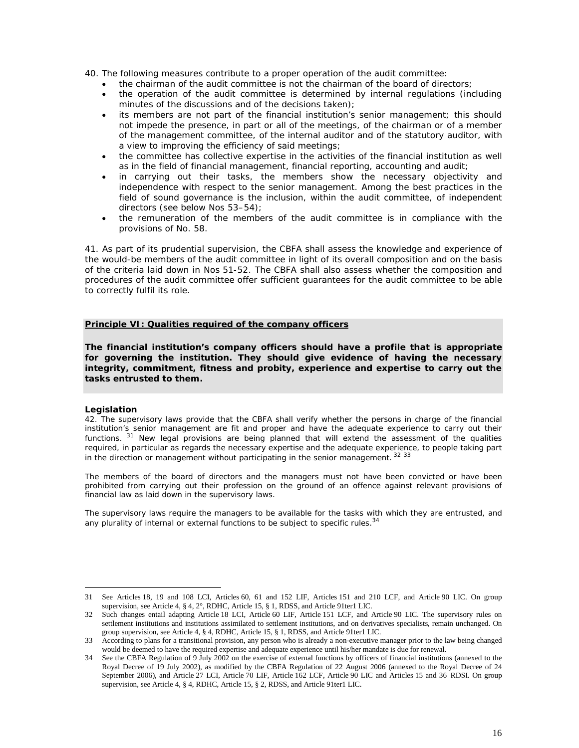- 40. The following measures contribute to a proper operation of the audit committee:
	- the chairman of the audit committee is not the chairman of the board of directors;
	- the operation of the audit committee is determined by internal regulations (including minutes of the discussions and of the decisions taken);
	- its members are not part of the financial institution's senior management; this should not impede the presence, in part or all of the meetings, of the chairman or of a member of the management committee, of the internal auditor and of the statutory auditor, with a view to improving the efficiency of said meetings;
	- the committee has collective expertise in the activities of the financial institution as well as in the field of financial management, financial reporting, accounting and audit;
	- in carrying out their tasks, the members show the necessary objectivity and independence with respect to the senior management. Among the best practices in the field of sound governance is the inclusion, within the audit committee, of independent directors (see below Nos 53–54);
	- the remuneration of the members of the audit committee is in compliance with the provisions of No. 58.

41. As part of its prudential supervision, the CBFA shall assess the knowledge and experience of the would-be members of the audit committee in light of its overall composition and on the basis of the criteria laid down in Nos 51-52. The CBFA shall also assess whether the composition and procedures of the audit committee offer sufficient guarantees for the audit committee to be able to correctly fulfil its role.

## **Principle VI: Qualities required of the company officers**

*The financial institution's company officers should have a profile that is appropriate for governing the institution. They should give evidence of having the necessary integrity, commitment, fitness and probity, experience and expertise to carry out the tasks entrusted to them.*

## **Legislation**

*42. The supervisory laws provide that the CBFA shall verify whether the persons in charge of the financial institution's senior management are fit and proper and have the adequate experience to carry out their functions. [31](#page-17-0) New legal provisions are being planned that will extend the assessment of the qualities required, in particular as regards the necessary expertise and the adequate experience, [to](#page-17-2) people taking part in the direction or management without participating in the senior management. <sup>32</sup> 3[3](#page-17-1)*

*The members of the board of directors and the managers must not have been convicted or have been prohibited from carrying out their profession on the ground of an offence against relevant provisions of financial law as laid down in the supervisory laws.*

*The supervisory laws require the managers to be available for the tasks with which they are entrusted, and any plurality of internal or external functions to be subject to specific rules.<sup>34</sup>*

<span id="page-17-0"></span><sup>31</sup> See Articles 18, 19 and 108 LCI, Articles 60, 61 and 152 LIF, Articles 151 and 210 LCF, and Article 90 LIC. On group supervision, see Article 4, § 4, 2°, RDHC, Article 15, § 1, RDSS, and Article 91ter1 LIC.

<span id="page-17-1"></span><sup>32</sup> Such changes entail adapting Article 18 LCI, Article 60 LIF, Article 151 LCF, and Article 90 LIC. The supervisory rules on settlement institutions and institutions assimilated to settlement institutions, and on derivatives specialists, remain unchanged. On group supervision, see Article 4, § 4, RDHC, Article 15, § 1, RDSS, and Article 91ter1 LIC.

<span id="page-17-2"></span><sup>33</sup> According to plans for a transitional provision, any person who is already a non-executive manager prior to the law being changed would be deemed to have the required expertise and adequate experience until his/her mandate is due for renewal.

<sup>34</sup> See the CBFA Regulation of 9 July 2002 on the exercise of external functions by officers of financial institutions (annexed to the Royal Decree of 19 July 2002), as modified by the CBFA Regulation of 22 August 2006 (annexed to the Royal Decree of 24 September 2006), and Article 27 LCI, Article 70 LIF, Article 162 LCF, Article 90 LIC and Articles 15 and 36 RDSI. On group supervision, see Article 4, § 4, RDHC, Article 15, § 2, RDSS, and Article 91ter1 LIC.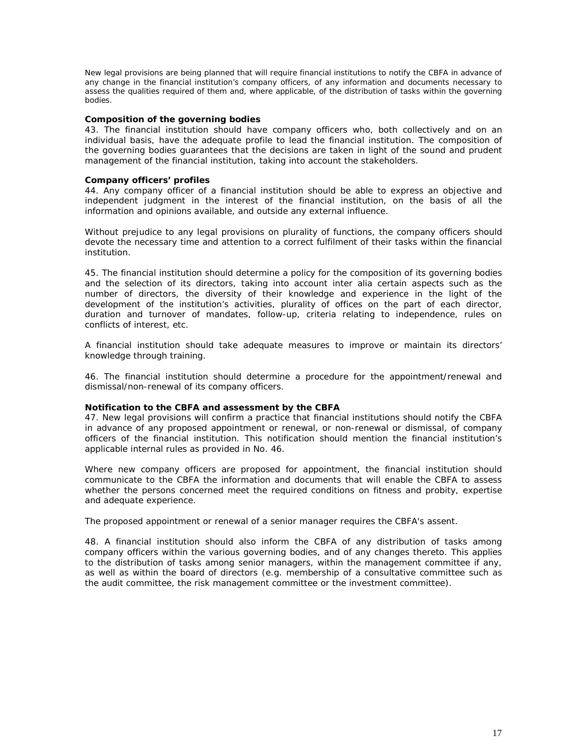*New legal provisions are being planned that will require financial institutions to notify the CBFA in advance of any change in the financial institution's company officers, of any information and documents necessary to assess the qualities required of them and, where applicable, of the distribution of tasks within the governing bodies.*

#### **Composition of the governing bodies**

43. The financial institution should have company officers who, both collectively and on an individual basis, have the adequate profile to lead the financial institution. The composition of the governing bodies guarantees that the decisions are taken in light of the sound and prudent management of the financial institution, taking into account the stakeholders.

#### **Company officers' profiles**

44. Any company officer of a financial institution should be able to express an objective and independent judgment in the interest of the financial institution, on the basis of all the information and opinions available, and outside any external influence.

Without prejudice to any legal provisions on plurality of functions, the company officers should devote the necessary time and attention to a correct fulfilment of their tasks within the financial institution.

45. The financial institution should determine a policy for the composition of its governing bodies and the selection of its directors, taking into account *inter alia* certain aspects such as the number of directors, the diversity of their knowledge and experience in the light of the development of the institution's activities, plurality of offices on the part of each director, duration and turnover of mandates, follow-up, criteria relating to independence, rules on conflicts of interest, etc.

A financial institution should take adequate measures to improve or maintain its directors' knowledge through training.

46. The financial institution should determine a procedure for the appointment/renewal and dismissal/non-renewal of its company officers.

## **Notification to the CBFA and assessment by the CBFA**

47. New legal provisions will confirm a practice that financial institutions should notify the CBFA in advance of any proposed appointment or renewal, or non-renewal or dismissal, of company officers of the financial institution. This notification should mention the financial institution's applicable internal rules as provided in No. 46.

Where new company officers are proposed for appointment, the financial institution should communicate to the CBFA the information and documents that will enable the CBFA to assess whether the persons concerned meet the required conditions on fitness and probity, expertise and adequate experience.

The proposed appointment or renewal of a senior manager requires the CBFA's assent.

48. A financial institution should also inform the CBFA of any distribution of tasks among company officers within the various governing bodies, and of any changes thereto. This applies to the distribution of tasks among senior managers, within the management committee if any, as well as within the board of directors (e.g. membership of a consultative committee such as the audit committee, the risk management committee or the investment committee).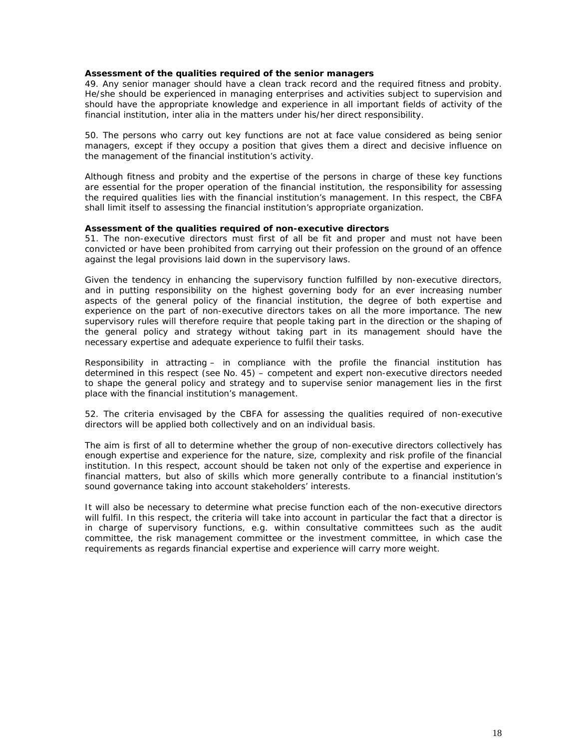**Assessment of the qualities required of the senior managers**

49. Any senior manager should have a clean track record and the required fitness and probity. He/she should be experienced in managing enterprises and activities subject to supervision and should have the appropriate knowledge and experience in all important fields of activity of the financial institution, *inter alia* in the matters under his/her direct responsibility.

50. The persons who carry out key functions are not at face value considered as being senior managers, except if they occupy a position that gives them a direct and decisive influence on the management of the financial institution's activity.

Although fitness and probity and the expertise of the persons in charge of these key functions are essential for the proper operation of the financial institution, the responsibility for assessing the required qualities lies with the financial institution's management. In this respect, the CBFA shall limit itself to assessing the financial institution's appropriate organization.

**Assessment of the qualities required of non-executive directors**

51. The non-executive directors must first of all be fit and proper and must not have been convicted or have been prohibited from carrying out their profession on the ground of an offence against the legal provisions laid down in the supervisory laws.

Given the tendency in enhancing the supervisory function fulfilled by non-executive directors, and in putting responsibility on the highest governing body for an ever increasing number aspects of the general policy of the financial institution, the degree of both expertise and experience on the part of non-executive directors takes on all the more importance. The new supervisory rules will therefore require that people taking part in the direction or the shaping of the general policy and strategy without taking part in its management should have the necessary expertise and adequate experience to fulfil their tasks.

Responsibility in attracting – in compliance with the profile the financial institution has determined in this respect (see No. 45) – competent and expert non-executive directors needed to shape the general policy and strategy and to supervise senior management lies in the first place with the financial institution's management.

52. The criteria envisaged by the CBFA for assessing the qualities required of non-executive directors will be applied both collectively and on an individual basis.

The aim is first of all to determine whether the group of non-executive directors collectively has enough expertise and experience for the nature, size, complexity and risk profile of the financial institution. In this respect, account should be taken not only of the expertise and experience in financial matters, but also of skills which more generally contribute to a financial institution's sound governance taking into account stakeholders' interests.

It will also be necessary to determine what precise function each of the non-executive directors will fulfil. In this respect, the criteria will take into account in particular the fact that a director is in charge of supervisory functions, e.g. within consultative committees such as the audit committee, the risk management committee or the investment committee, in which case the requirements as regards financial expertise and experience will carry more weight.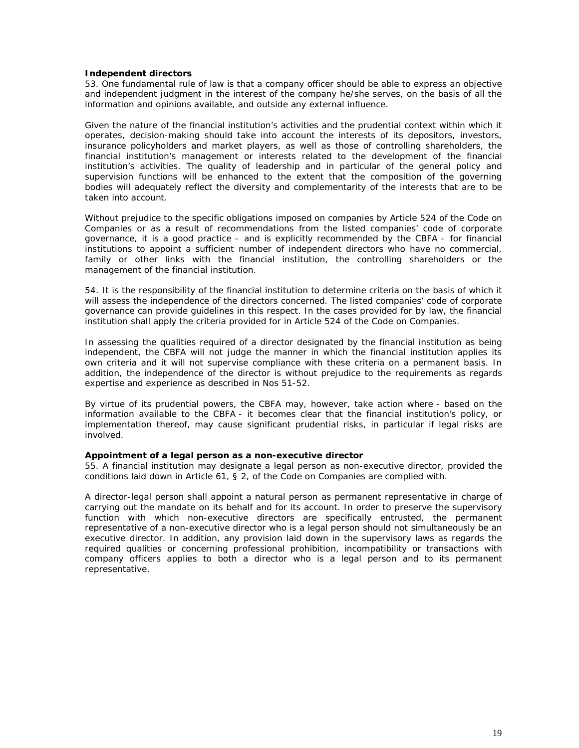**Independent directors**

53. One fundamental rule of law is that a company officer should be able to express an objective and independent judgment in the interest of the company he/she serves, on the basis of all the information and opinions available, and outside any external influence.

Given the nature of the financial institution's activities and the prudential context within which it operates, decision-making should take into account the interests of its depositors, investors, insurance policyholders and market players, as well as those of controlling shareholders, the financial institution's management or interests related to the development of the financial institution's activities. The quality of leadership and in particular of the general policy and supervision functions will be enhanced to the extent that the composition of the governing bodies will adequately reflect the diversity and complementarity of the interests that are to be taken into account.

Without prejudice to the specific obligations imposed on companies by Article 524 of the Code on Companies or as a result of recommendations from the listed companies' code of corporate governance, it is a good practice – and is explicitly recommended by the CBFA – for financial institutions to appoint a sufficient number of independent directors who have no commercial, family or other links with the financial institution, the controlling shareholders or the management of the financial institution.

54. It is the responsibility of the financial institution to determine criteria on the basis of which it will assess the independence of the directors concerned. The listed companies' code of corporate governance can provide guidelines in this respect. In the cases provided for by law, the financial institution shall apply the criteria provided for in Article 524 of the Code on Companies.

In assessing the qualities required of a director designated by the financial institution as being independent, the CBFA will not judge the manner in which the financial institution applies its own criteria and it will not supervise compliance with these criteria on a permanent basis. In addition, the independence of the director is without prejudice to the requirements as regards expertise and experience as described in Nos 51-52.

By virtue of its prudential powers, the CBFA may, however, take action where - based on the information available to the CBFA - it becomes clear that the financial institution's policy, or implementation thereof, may cause significant prudential risks, in particular if legal risks are involved.

**Appointment of a legal person as a non-executive director** 55. A financial institution may designate a legal person as non-executive director, provided the conditions laid down in Article 61, § 2, of the Code on Companies are complied with.

A director-legal person shall appoint a natural person as permanent representative in charge of carrying out the mandate on its behalf and for its account. In order to preserve the supervisory function with which non-executive directors are specifically entrusted, the permanent representative of a non-executive director who is a legal person should not simultaneously be an executive director. In addition, any provision laid down in the supervisory laws as regards the required qualities or concerning professional prohibition, incompatibility or transactions with company officers applies to both a director who is a legal person and to its permanent representative.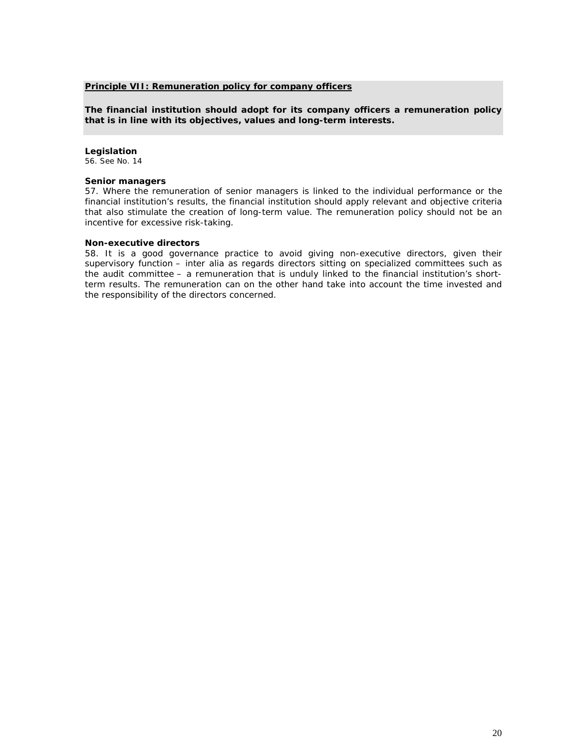## **Principle VII: Remuneration policy for company officers**

*The financial institution should adopt for its company officers a remuneration policy that is in line with its objectives, values and long-term interests.*

#### **Legislation** *56. See No. 14*

## **Senior managers**

57. Where the remuneration of senior managers is linked to the individual performance or the financial institution's results, the financial institution should apply relevant and objective criteria that also stimulate the creation of long-term value. The remuneration policy should not be an incentive for excessive risk-taking.

#### **Non-executive directors**

58. It is a good governance practice to avoid giving non-executive directors, given their supervisory function – *inter alia* as regards directors sitting on specialized committees such as the audit committee – a remuneration that is unduly linked to the financial institution's shortterm results. The remuneration can on the other hand take into account the time invested and the responsibility of the directors concerned.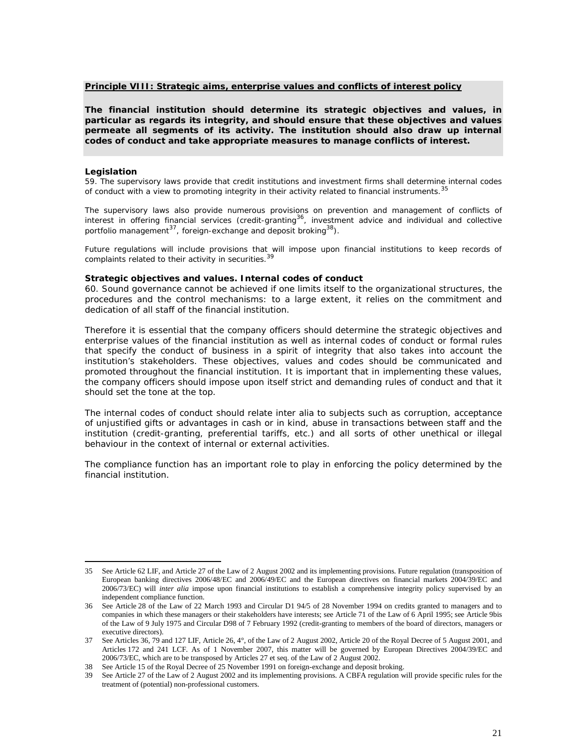## **Principle VIII: Strategic aims, enterprise values and conflicts of interest policy**

*The financial institution should determine its strategic objectives and values, in particular as regards its integrity, and should ensure that these objectives and values permeate all segments of its activity. The institution should also draw up internal codes of conduct and take appropriate measures to manage conflicts of interest.*

#### **Legislation**

*59. The supervisory laws provide that credit institutions and investment firms shall determine int[ern](#page-22-0)al codes of conduct with a view to promoting integrity in their activity related to financial instruments.<sup>35</sup>*

*The supervisory laws also provide numerous provisions on prevention and management of conflicts of interest in offering financial services (credit-granting[36](#page-22-1), investment advice and individual and collective portfolio management<sup>37</sup> [,](#page-22-2) foreign-exchange and deposit broking38).*

*Future regulations will include provisions that [will](#page-22-3) impose upon financial institutions to keep records of complaints related to their activity in securities.<sup>39</sup>*

**Strategic objectives and values. Internal codes of conduct**

60. Sound governance cannot be achieved if one limits itself to the organizational structures, the procedures and the control mechanisms: to a large extent, it relies on the commitment and dedication of all staff of the financial institution.

Therefore it is essential that the company officers should determine the strategic objectives and enterprise values of the financial institution as well as internal codes of conduct or formal rules that specify the conduct of business in a spirit of integrity that also takes into account the institution's stakeholders. These objectives, values and codes should be communicated and promoted throughout the financial institution. It is important that in implementing these values, the company officers should impose upon itself strict and demanding rules of conduct and that it should set the tone at the top.

The internal codes of conduct should relate *inter alia* to subjects such as corruption, acceptance of unjustified gifts or advantages in cash or in kind, abuse in transactions between staff and the institution (credit-granting, preferential tariffs, etc.) and all sorts of other unethical or illegal behaviour in the context of internal or external activities.

The compliance function has an important role to play in enforcing the policy determined by the financial institution.

<span id="page-22-0"></span><sup>35</sup> See Article 62 LIF, and Article 27 of the Law of 2 August 2002 and its implementing provisions. Future regulation (transposition of European banking directives 2006/48/EC and 2006/49/EC and the European directives on financial markets 2004/39/EC and 2006/73/EC) will *inter alia* impose upon financial institutions to establish a comprehensive integrity policy supervised by an independent compliance function.

<span id="page-22-1"></span><sup>36</sup> See Article 28 of the Law of 22 March 1993 and Circular D1 94/5 of 28 November 1994 on credits granted to managers and to companies in which these managers or their stakeholders have interests; see Article 71 of the Law of 6 April 1995; see Article 9bis of the Law of 9 July 1975 and Circular D98 of 7 February 1992 (credit-granting to members of the board of directors, managers or executive directors).

<span id="page-22-2"></span><sup>37</sup> See Articles 36, 79 and 127 LIF, Article 26, 4°, of the Law of 2 August 2002, Article 20 of the Royal Decree of 5 August 2001, and Articles 172 and 241 LCF. As of 1 November 2007, this matter will be governed by European Directives 2004/39/EC and 2006/73/EC, which are to be transposed by Articles 27 et seq. of the Law of 2 August 2002.

<sup>38</sup> See Article 15 of the Royal Decree of 25 November 1991 on foreign-exchange and deposit broking.

<span id="page-22-3"></span><sup>39</sup> See Article 27 of the Law of 2 August 2002 and its implementing provisions. A CBFA regulation will provide specific rules for the treatment of (potential) non-professional customers.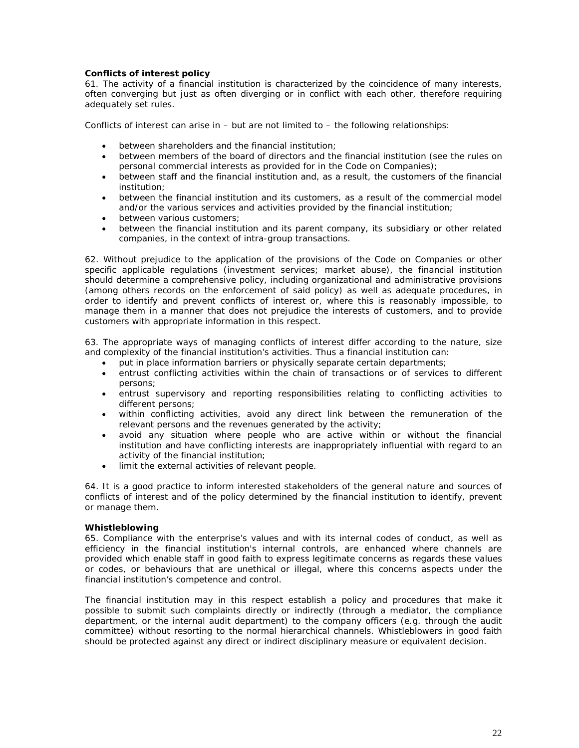# **Conflicts of interest policy**

61. The activity of a financial institution is characterized by the coincidence of many interests, often converging but just as often diverging or in conflict with each other, therefore requiring adequately set rules.

Conflicts of interest can arise in – but are not limited to – the following relationships:

- **•** between shareholders and the financial institution:
- between members of the board of directors and the financial institution (see the rules on personal commercial interests as provided for in the Code on Companies);
- between staff and the financial institution and, as a result, the customers of the financial institution;
- between the financial institution and its customers, as a result of the commercial model and/or the various services and activities provided by the financial institution;
- between various customers;
- between the financial institution and its parent company, its subsidiary or other related companies, in the context of intra-group transactions.

62. Without prejudice to the application of the provisions of the Code on Companies or other specific applicable regulations (investment services; market abuse), the financial institution should determine a comprehensive policy, including organizational and administrative provisions (among others records on the enforcement of said policy) as well as adequate procedures, in order to identify and prevent conflicts of interest or, where this is reasonably impossible, to manage them in a manner that does not prejudice the interests of customers, and to provide customers with appropriate information in this respect.

63. The appropriate ways of managing conflicts of interest differ according to the nature, size and complexity of the financial institution's activities. Thus a financial institution can:

- put in place information barriers or physically separate certain departments;
- entrust conflicting activities within the chain of transactions or of services to different persons;
- x entrust supervisory and reporting responsibilities relating to conflicting activities to different persons;
- within conflicting activities, avoid any direct link between the remuneration of the relevant persons and the revenues generated by the activity;
- avoid any situation where people who are active within or without the financial institution and have conflicting interests are inappropriately influential with regard to an activity of the financial institution;
- limit the external activities of relevant people.

64. It is a good practice to inform interested stakeholders of the general nature and sources of conflicts of interest and of the policy determined by the financial institution to identify, prevent or manage them.

## **Whistleblowing**

65. Compliance with the enterprise's values and with its internal codes of conduct, as well as efficiency in the financial institution's internal controls, are enhanced where channels are provided which enable staff in good faith to express legitimate concerns as regards these values or codes, or behaviours that are unethical or illegal, where this concerns aspects under the financial institution's competence and control.

The financial institution may in this respect establish a policy and procedures that make it possible to submit such complaints directly or indirectly (through a mediator, the compliance department, or the internal audit department) to the company officers (e.g. through the audit committee) without resorting to the normal hierarchical channels. Whistleblowers in good faith should be protected against any direct or indirect disciplinary measure or equivalent decision.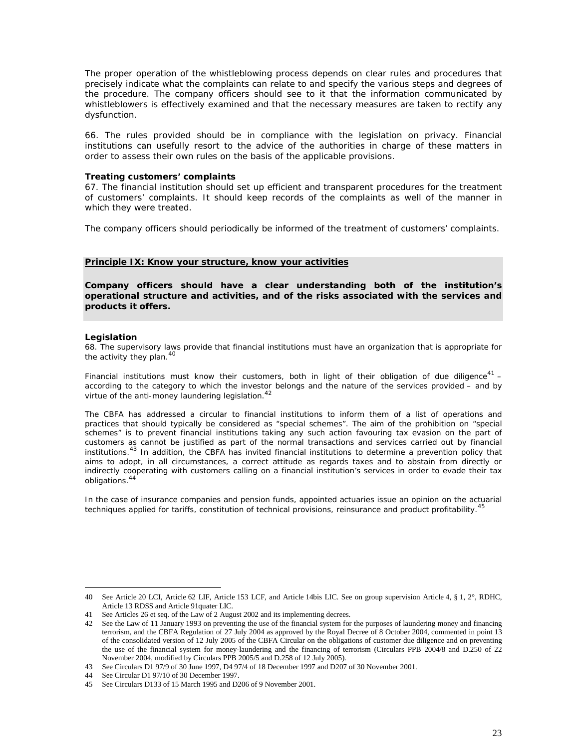The proper operation of the whistleblowing process depends on clear rules and procedures that precisely indicate what the complaints can relate to and specify the various steps and degrees of the procedure. The company officers should see to it that the information communicated by whistleblowers is effectively examined and that the necessary measures are taken to rectify any dysfunction.

66. The rules provided should be in compliance with the legislation on privacy. Financial institutions can usefully resort to the advice of the authorities in charge of these matters in order to assess their own rules on the basis of the applicable provisions.

#### **Treating customers' complaints**

67. The financial institution should set up efficient and transparent procedures for the treatment of customers' complaints. It should keep records of the complaints as well of the manner in which they were treated.

The company officers should periodically be informed of the treatment of customers' complaints.

#### **Principle IX: Know your structure, know your activities**

*Company officers should have a clear understanding both of the institution's operational structure and activities, and of the risks associated with the services and products it offers.*

#### **Legislation**

*68. The supervisory laws provide that financial institutions must have an organization that is appropriate for the activity they plan.4[0](#page-24-0)*

*Financial institutions must know their customers, both in light of their obligation of due diligence[41](#page-24-1) – according to the category to which the investor belongs and the nature of the services provided – and by virtue of the anti-money laundering legislation.<sup>42</sup>*

*The CBFA has addressed a circular to financial institutions to inform them of a list of operations and practices that should typically be considered as "special schemes". The aim of the prohibition on "special schemes" is to prevent financial institutions taking any such action favouring tax evasion on the part of customers as cannot be justified as part of the normal transactions and services carried out by financial institutions.[43](#page-24-2) In addition, the CBFA has invited financial institutions to determine a prevention policy that aims to adopt, in all circumstances, a correct attitude as regards taxes and to abstain from directly or indirectly cooperating with customers calling on a financial institution's services in order to evade their tax obligations.[44](#page-24-3)*

*In the case of insurance companies and pension funds, appointed actuaries issue an opinion on the actuari[al](#page-24-4) techniques applied for tariffs, constitution of technical provisions, reinsurance and product profitability.<sup>45</sup>*

<span id="page-24-0"></span><sup>40</sup> See Article 20 LCI, Article 62 LIF, Article 153 LCF, and Article 14bis LIC. See on group supervision Article 4, § 1, 2°, RDHC, Article 13 RDSS and Article 91quater LIC.

<span id="page-24-1"></span><sup>41</sup> See Articles 26 et seq. of the Law of 2 August 2002 and its implementing decrees.

<sup>42</sup> See the Law of 11 January 1993 on preventing the use of the financial system for the purposes of laundering money and financing terrorism, and the CBFA Regulation of 27 July 2004 as approved by the Royal Decree of 8 October 2004, commented in point 13 of the consolidated version of 12 July 2005 of the CBFA Circular on the obligations of customer due diligence and on preventing the use of the financial system for money-laundering and the financing of terrorism (Circulars PPB 2004/8 and D.250 of 22 November 2004, modified by Circulars PPB 2005/5 and D.258 of 12 July 2005).

<span id="page-24-2"></span><sup>43</sup> See Circulars D1 97/9 of 30 June 1997, D4 97/4 of 18 December 1997 and D207 of 30 November 2001.

<span id="page-24-3"></span><sup>44</sup> See Circular D1 97/10 of 30 December 1997.

<span id="page-24-4"></span><sup>45</sup> See Circulars D133 of 15 March 1995 and D206 of 9 November 2001.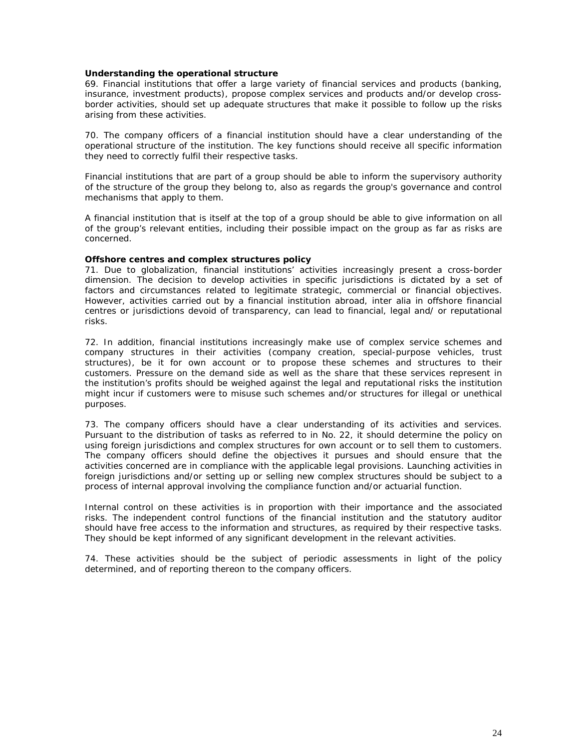#### **Understanding the operational structure**

69. Financial institutions that offer a large variety of financial services and products (banking, insurance, investment products), propose complex services and products and/or develop crossborder activities, should set up adequate structures that make it possible to follow up the risks arising from these activities.

70. The company officers of a financial institution should have a clear understanding of the operational structure of the institution. The key functions should receive all specific information they need to correctly fulfil their respective tasks.

Financial institutions that are part of a group should be able to inform the supervisory authority of the structure of the group they belong to, also as regards the group's governance and control mechanisms that apply to them.

A financial institution that is itself at the top of a group should be able to give information on all of the group's relevant entities, including their possible impact on the group as far as risks are concerned.

## **Offshore centres and complex structures policy**

71. Due to globalization, financial institutions' activities increasingly present a cross-border dimension. The decision to develop activities in specific jurisdictions is dictated by a set of factors and circumstances related to legitimate strategic, commercial or financial objectives. However, activities carried out by a financial institution abroad, *inter alia* in offshore financial centres or jurisdictions devoid of transparency, can lead to financial, legal and/ or reputational risks.

72. In addition, financial institutions increasingly make use of complex service schemes and company structures in their activities (company creation, special-purpose vehicles, trust structures), be it for own account or to propose these schemes and structures to their customers. Pressure on the demand side as well as the share that these services represent in the institution's profits should be weighed against the legal and reputational risks the institution might incur if customers were to misuse such schemes and/or structures for illegal or unethical purposes.

73. The company officers should have a clear understanding of its activities and services. Pursuant to the distribution of tasks as referred to in No. 22, it should determine the policy on using foreign jurisdictions and complex structures for own account or to sell them to customers. The company officers should define the objectives it pursues and should ensure that the activities concerned are in compliance with the applicable legal provisions. Launching activities in foreign jurisdictions and/or setting up or selling new complex structures should be subject to a process of internal approval involving the compliance function and/or actuarial function.

Internal control on these activities is in proportion with their importance and the associated risks. The independent control functions of the financial institution and the statutory auditor should have free access to the information and structures, as required by their respective tasks. They should be kept informed of any significant development in the relevant activities.

74. These activities should be the subject of periodic assessments in light of the policy determined, and of reporting thereon to the company officers.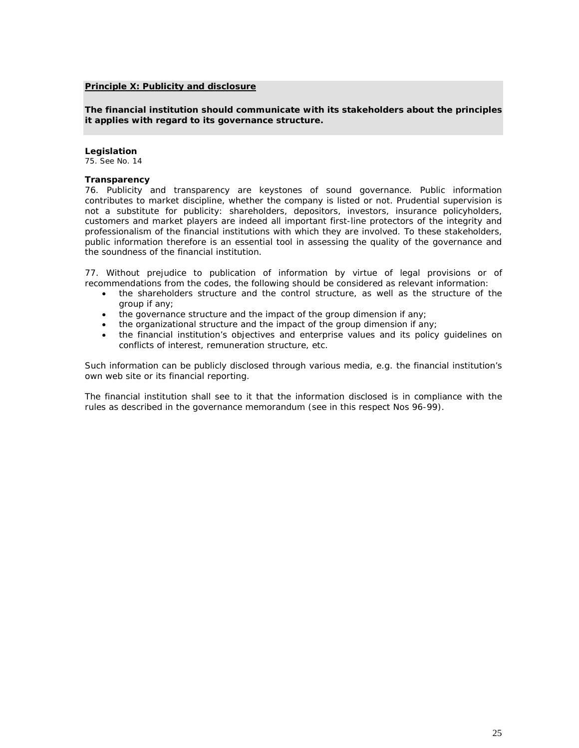## **Principle X: Publicity and disclosure**

*The financial institution should communicate with its stakeholders about the principles it applies with regard to its governance structure.*

#### **Legislation** 75*. See No. 14*

## **Transparency**

76. Publicity and transparency are keystones of sound governance. Public information contributes to market discipline, whether the company is listed or not. Prudential supervision is not a substitute for publicity: shareholders, depositors, investors, insurance policyholders, customers and market players are indeed all important first-line protectors of the integrity and professionalism of the financial institutions with which they are involved. To these stakeholders, public information therefore is an essential tool in assessing the quality of the governance and the soundness of the financial institution.

77. Without prejudice to publication of information by virtue of legal provisions or of recommendations from the codes, the following should be considered as relevant information:

- the shareholders structure and the control structure, as well as the structure of the group if any;
- $\bullet$  the governance structure and the impact of the group dimension if any;
- $\bullet$  the organizational structure and the impact of the group dimension if any;
- the financial institution's objectives and enterprise values and its policy quidelines on conflicts of interest, remuneration structure, etc.

Such information can be publicly disclosed through various media, e.g. the financial institution's own web site or its financial reporting.

The financial institution shall see to it that the information disclosed is in compliance with the rules as described in the governance memorandum (see in this respect Nos 96-99).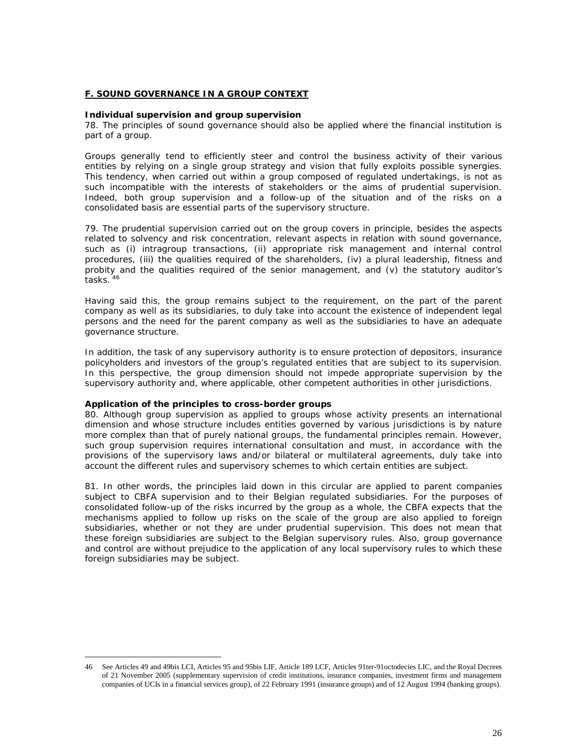## **F. SOUND GOVERNANCE IN A GROUP CONTEXT**

**Individual supervision and group supervision** 78. The principles of sound governance should also be applied where the financial institution is part of a group.

Groups generally tend to efficiently steer and control the business activity of their various entities by relying on a single group strategy and vision that fully exploits possible synergies. This tendency, when carried out within a group composed of regulated undertakings, is not as such incompatible with the interests of stakeholders or the aims of prudential supervision. Indeed, both group supervision and a follow-up of the situation and of the risks on a consolidated basis are essential parts of the supervisory structure.

79. The prudential supervision carried out on the group covers in principle, besides the aspects related to solvency and risk concentration, relevant aspects in relation with sound governance, such as (i) intragroup transactions, (ii) appropriate risk management and internal control procedures, (iii) the qualities required of the shareholders, (iv) a plural leadership, fitness and probity and the qualities required of the senior management, and (v) the statutory auditor's tasks. [46](#page-27-0)

Having said this, the group remains subject to the requirement, on the part of the parent company as well as its subsidiaries, to duly take into account the existence of independent legal persons and the need for the parent company as well as the subsidiaries to have an adequate governance structure.

In addition, the task of any supervisory authority is to ensure protection of depositors, insurance policyholders and investors of the group's regulated entities that are subject to its supervision. In this perspective, the group dimension should not impede appropriate supervision by the supervisory authority and, where applicable, other competent authorities in other jurisdictions.

## **Application of the principles to cross-border groups**

80. Although group supervision as applied to groups whose activity presents an international dimension and whose structure includes entities governed by various jurisdictions is by nature more complex than that of purely national groups, the fundamental principles remain. However, such group supervision requires international consultation and must, in accordance with the provisions of the supervisory laws and/or bilateral or multilateral agreements, duly take into account the different rules and supervisory schemes to which certain entities are subject.

81. In other words, the principles laid down in this circular are applied to parent companies subject to CBFA supervision and to their Belgian regulated subsidiaries. For the purposes of consolidated follow-up of the risks incurred by the group as a whole, the CBFA expects that the mechanisms applied to follow up risks on the scale of the group are also applied to foreign subsidiaries, whether or not they are under prudential supervision. This does not mean that these foreign subsidiaries are subject to the Belgian supervisory rules. Also, group governance and control are without prejudice to the application of any local supervisory rules to which these foreign subsidiaries may be subject.

<span id="page-27-0"></span><sup>46</sup> See Articles 49 and 49bis LCI, Articles 95 and 95bis LIF, Article 189 LCF, Articles 91ter-91octodecies LIC, and the Royal Decrees of 21 November 2005 (supplementary supervision of credit institutions, insurance companies, investment firms and management companies of UCIs in a financial services group), of 22 February 1991 (insurance groups) and of 12 August 1994 (banking groups).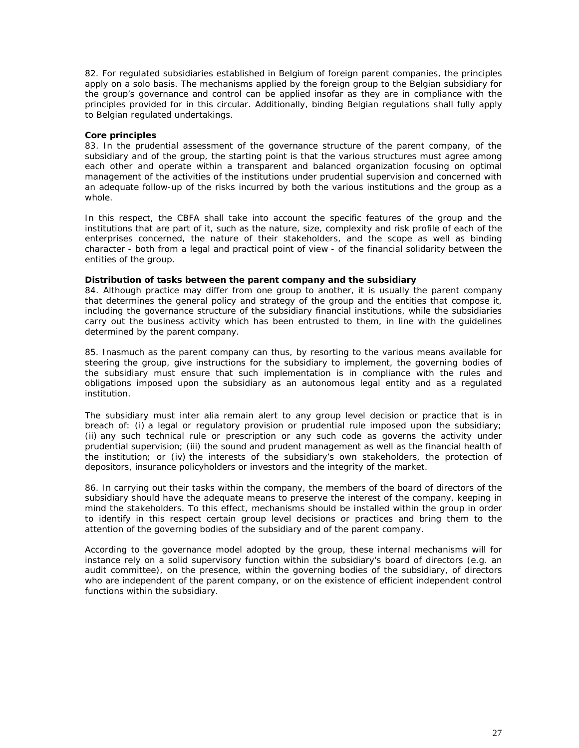82. For regulated subsidiaries established in Belgium of foreign parent companies, the principles apply on a solo basis. The mechanisms applied by the foreign group to the Belgian subsidiary for the group's governance and control can be applied insofar as they are in compliance with the principles provided for in this circular. Additionally, binding Belgian regulations shall fully apply to Belgian regulated undertakings.

## **Core principles**

83. In the prudential assessment of the governance structure of the parent company, of the subsidiary and of the group, the starting point is that the various structures must agree among each other and operate within a transparent and balanced organization focusing on optimal management of the activities of the institutions under prudential supervision and concerned with an adequate follow-up of the risks incurred by both the various institutions and the group as a whole.

In this respect, the CBFA shall take into account the specific features of the group and the institutions that are part of it, such as the nature, size, complexity and risk profile of each of the enterprises concerned, the nature of their stakeholders, and the scope as well as binding character - both from a legal and practical point of view - of the financial solidarity between the entities of the group.

**Distribution of tasks between the parent company and the subsidiary**

84. Although practice may differ from one group to another, it is usually the parent company that determines the general policy and strategy of the group and the entities that compose it, including the governance structure of the subsidiary financial institutions, while the subsidiaries carry out the business activity which has been entrusted to them, in line with the guidelines determined by the parent company.

85. Inasmuch as the parent company can thus, by resorting to the various means available for steering the group, give instructions for the subsidiary to implement, the governing bodies of the subsidiary must ensure that such implementation is in compliance with the rules and obligations imposed upon the subsidiary as an autonomous legal entity and as a regulated institution.

The subsidiary must *inter alia* remain alert to any group level decision or practice that is in breach of: (i) a legal or regulatory provision or prudential rule imposed upon the subsidiary; (ii) any such technical rule or prescription or any such code as governs the activity under prudential supervision; (iii) the sound and prudent management as well as the financial health of the institution; or (iv) the interests of the subsidiary's own stakeholders, the protection of depositors, insurance policyholders or investors and the integrity of the market.

86. In carrying out their tasks within the company, the members of the board of directors of the subsidiary should have the adequate means to preserve the interest of the company, keeping in mind the stakeholders. To this effect, mechanisms should be installed within the group in order to identify in this respect certain group level decisions or practices and bring them to the attention of the governing bodies of the subsidiary and of the parent company.

According to the governance model adopted by the group, these internal mechanisms will for instance rely on a solid supervisory function within the subsidiary's board of directors (e.g. an audit committee), on the presence, within the governing bodies of the subsidiary, of directors who are independent of the parent company, or on the existence of efficient independent control functions within the subsidiary.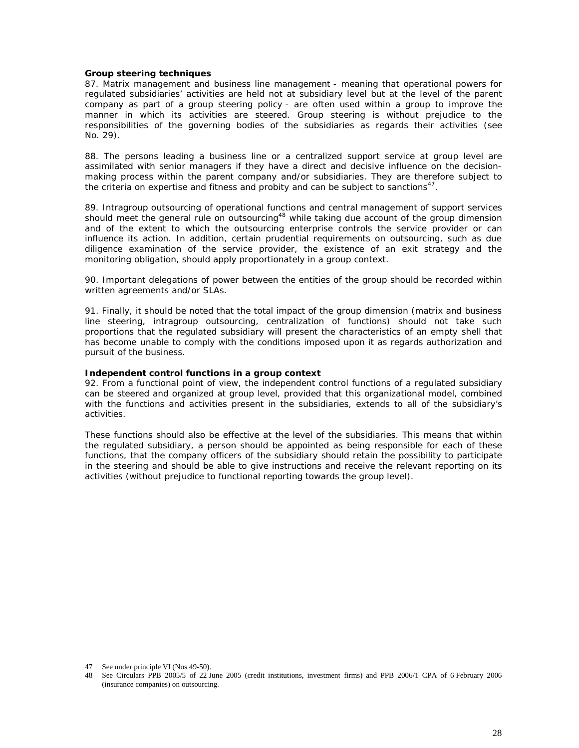#### **Group steering techniques**

87. Matrix management and business line management - meaning that operational powers for regulated subsidiaries' activities are held not at subsidiary level but at the level of the parent company as part of a group steering policy - are often used within a group to improve the manner in which its activities are steered. Group steering is without prejudice to the responsibilities of the governing bodies of the subsidiaries as regards their activities (see No. 29).

88. The persons leading a business line or a centralized support service at group level are assimilated with senior managers if they have a direct and decisive influence on the decisionmaking process within the parent company and/or subsidiaries. They are therefore subject to the criteria on expertise and fitness and probity and can be subject to sanctions<sup>47</sup>.

89. Intragroup outsourcing of operational functions and central management of support services should meet the general rule on outsourcing<sup>[48](#page-29-0)</sup> while taking due account of the group dimension and of the extent to which the outsourcing enterprise controls the service provider or can influence its action. In addition, certain prudential requirements on outsourcing, such as due diligence examination of the service provider, the existence of an exit strategy and the monitoring obligation, should apply proportionately in a group context.

90. Important delegations of power between the entities of the group should be recorded within written agreements and/or SLAs.

91. Finally, it should be noted that the total impact of the group dimension (matrix and business line steering, intragroup outsourcing, centralization of functions) should not take such proportions that the regulated subsidiary will present the characteristics of an empty shell that has become unable to comply with the conditions imposed upon it as regards authorization and pursuit of the business.

**Independent control functions in a group context**

92. From a functional point of view, the independent control functions of a regulated subsidiary can be steered and organized at group level, provided that this organizational model, combined with the functions and activities present in the subsidiaries, extends to all of the subsidiary's activities.

These functions should also be effective at the level of the subsidiaries. This means that within the regulated subsidiary, a person should be appointed as being responsible for each of these functions, that the company officers of the subsidiary should retain the possibility to participate in the steering and should be able to give instructions and receive the relevant reporting on its activities (without prejudice to functional reporting towards the group level).

<sup>47</sup> See under principle VI (Nos 49-50).

<span id="page-29-0"></span><sup>48</sup> See Circulars PPB 2005/5 of 22 June 2005 (credit institutions, investment firms) and PPB 2006/1 CPA of 6 February 2006 (insurance companies) on outsourcing.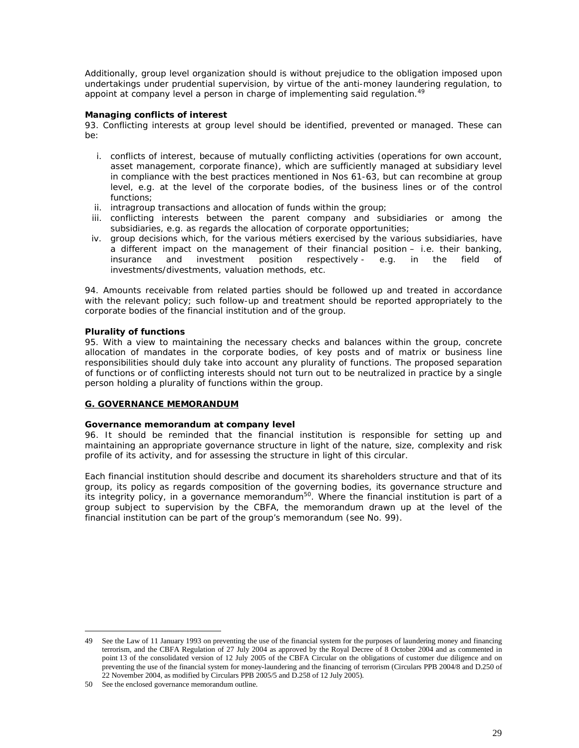Additionally, group level organization should is without prejudice to the obligation imposed upon undertakings under prudential supervision, by virtue of the anti-money laundering regulation, to appoint at company level a person in charge of implementing said regulation.<sup>49</sup>

## **Managing conflicts of interest**

93. Conflicting interests at group level should be identified, prevented or managed. These can be:

- i. conflicts of interest, because of mutually conflicting activities (operations for own account, asset management, corporate finance), which are sufficiently managed at subsidiary level in compliance with the best practices mentioned in Nos 61-63, but can recombine at group level, e.g. at the level of the corporate bodies, of the business lines or of the control functions;
- ii. intragroup transactions and allocation of funds within the group;
- iii. conflicting interests between the parent company and subsidiaries or among the subsidiaries, e.g. as regards the allocation of corporate opportunities;
- iv. group decisions which, for the various *métiers* exercised by the various subsidiaries, have a different impact on the management of their financial position – i.e. their banking, insurance and investment position respectively - e.g. in the field of insurance and investment position respectively - e.g. in the field of investments/divestments, valuation methods, etc.

94. Amounts receivable from related parties should be followed up and treated in accordance with the relevant policy; such follow-up and treatment should be reported appropriately to the corporate bodies of the financial institution and of the group.

## **Plurality of functions**

95. With a view to maintaining the necessary checks and balances within the group, concrete allocation of mandates in the corporate bodies, of key posts and of matrix or business line responsibilities should duly take into account any plurality of functions. The proposed separation of functions or of conflicting interests should not turn out to be neutralized in practice by a single person holding a plurality of functions within the group.

## **G. GOVERNANCE MEMORANDUM**

## **Governance memorandum at company level**

96. It should be reminded that the financial institution is responsible for setting up and maintaining an appropriate governance structure in light of the nature, size, complexity and risk profile of its activity, and for assessing the structure in light of this circular.

Each financial institution should describe and document its shareholders structure and that of its group, its policy as regards composition of the governing bodies, its governance structure and its integrity policy, in a governance memorandum<sup>50</sup>[.](#page-30-0) Where the financial institution is part of a group subject to supervision by the CBFA, the memorandum drawn up at the level of the financial institution can be part of the group's memorandum (see No. 99).

<sup>49</sup> See the Law of 11 January 1993 on preventing the use of the financial system for the purposes of laundering money and financing terrorism, and the CBFA Regulation of 27 July 2004 as approved by the Royal Decree of 8 October 2004 and as commented in point 13 of the consolidated version of 12 July 2005 of the CBFA Circular on the obligations of customer due diligence and on preventing the use of the financial system for money-laundering and the financing of terrorism (Circulars PPB 2004/8 and D.250 of 22 November 2004, as modified by Circulars PPB 2005/5 and D.258 of 12 July 2005).

<span id="page-30-0"></span><sup>50</sup> See the enclosed governance memorandum outline.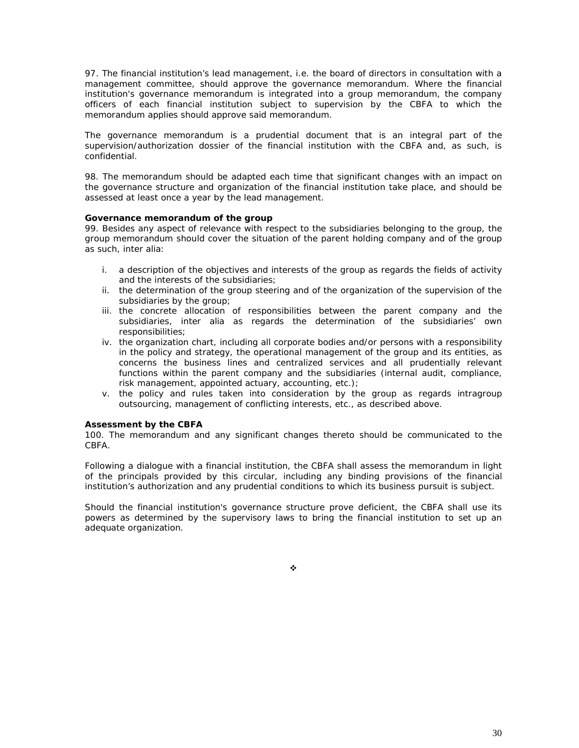97. The financial institution's lead management, i.e. the board of directors in consultation with a management committee, should approve the governance memorandum. Where the financial institution's governance memorandum is integrated into a group memorandum, the company officers of each financial institution subject to supervision by the CBFA to which the memorandum applies should approve said memorandum.

The governance memorandum is a prudential document that is an integral part of the supervision/authorization dossier of the financial institution with the CBFA and, as such, is confidential.

98. The memorandum should be adapted each time that significant changes with an impact on the governance structure and organization of the financial institution take place, and should be assessed at least once a year by the lead management.

# **Governance memorandum of the group**

99. Besides any aspect of relevance with respect to the subsidiaries belonging to the group, the group memorandum should cover the situation of the parent holding company and of the group as such, *inter alia*:

- i. a description of the objectives and interests of the group as regards the fields of activity and the interests of the subsidiaries;
- ii. the determination of the group steering and of the organization of the supervision of the subsidiaries by the group;
- iii. the concrete allocation of responsibilities between the parent company and the subsidiaries, *inter alia* as regards the determination of the subsidiaries' own responsibilities;
- iv. the organization chart, including all corporate bodies and/or persons with a responsibility in the policy and strategy, the operational management of the group and its entities, as concerns the business lines and centralized services and all prudentially relevant functions within the parent company and the subsidiaries (internal audit, compliance, risk management, appointed actuary, accounting, etc.);
- v. the policy and rules taken into consideration by the group as regards intragroup outsourcing, management of conflicting interests, etc., as described above.

## **Assessment by the CBFA**

100. The memorandum and any significant changes thereto should be communicated to the CBFA.

Following a dialogue with a financial institution, the CBFA shall assess the memorandum in light of the principals provided by this circular, including any binding provisions of the financial institution's authorization and any prudential conditions to which its business pursuit is subject.

Should the financial institution's governance structure prove deficient, the CBFA shall use its powers as determined by the supervisory laws to bring the financial institution to set up an adequate organization.

❖